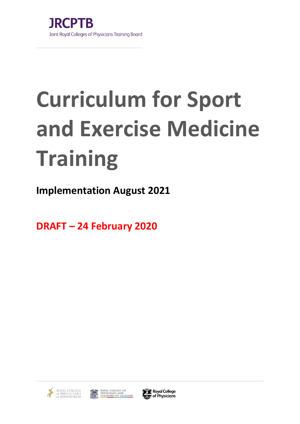# **Curriculum for Sport and Exercise Medicine Training**

**Implementation August 2021**

**DRAFT – 24 February 2020**



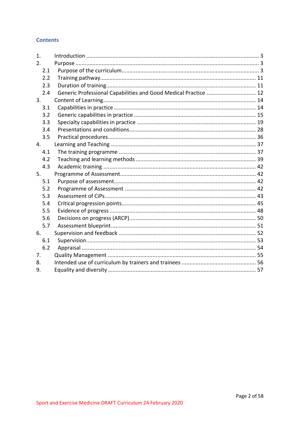# **Contents**

| 1.  |                                                                 |  |
|-----|-----------------------------------------------------------------|--|
| 2.  |                                                                 |  |
| 2.1 |                                                                 |  |
| 2.2 |                                                                 |  |
| 2.3 |                                                                 |  |
| 2.4 | Generic Professional Capabilities and Good Medical Practice  12 |  |
| 3.  |                                                                 |  |
| 3.1 |                                                                 |  |
| 3.2 |                                                                 |  |
| 3.3 |                                                                 |  |
| 3.4 |                                                                 |  |
| 3.5 |                                                                 |  |
| 4.  |                                                                 |  |
| 4.1 |                                                                 |  |
| 4.2 |                                                                 |  |
| 4.3 |                                                                 |  |
| 5.  |                                                                 |  |
| 5.1 |                                                                 |  |
| 5.2 |                                                                 |  |
| 5.3 |                                                                 |  |
| 5.4 |                                                                 |  |
| 5.5 |                                                                 |  |
| 5.6 |                                                                 |  |
| 5.7 |                                                                 |  |
| 6.  |                                                                 |  |
| 6.1 |                                                                 |  |
| 6.2 |                                                                 |  |
| 7.  |                                                                 |  |
| 8.  |                                                                 |  |
| 9.  |                                                                 |  |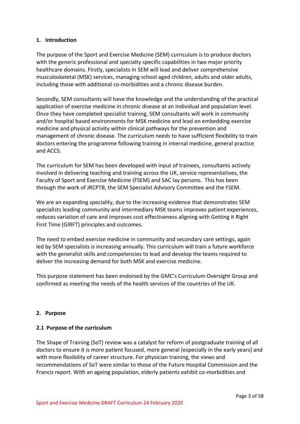# <span id="page-2-0"></span>**1. Introduction**

The purpose of the Sport and Exercise Medicine (SEM) curriculum is to produce doctors with the generic professional and specialty specific capabilities in two major priority healthcare domains. Firstly, specialists in SEM will lead and deliver comprehensive musculoskeletal (MSK) services, managing school aged children, adults and older adults, including those with additional co-morbidities and a chronic disease burden.

Secondly, SEM consultants will have the knowledge and the understanding of the practical application of exercise medicine in chronic disease at an individual and population level. Once they have completed specialist training, SEM consultants will work in community and/or hospital based environments for MSK medicine and lead on embedding exercise medicine and physical activity within clinical pathways for the prevention and management of chronic disease. The curriculum needs to have sufficient flexibility to train doctors entering the programme following training in internal medicine, general practice and ACCS.

The curriculum for SEM has been developed with input of trainees, consultants actively involved in delivering teaching and training across the UK, service representatives, the Faculty of Sport and Exercise Medicine (FSEM) and SAC lay persons. This has been through the work of JRCPTB, the SEM Specialist Advisory Committee and the FSEM.

We are an expanding speciality, due to the increasing evidence that demonstrates SEM specialists leading community and intermediary MSK teams improves patient experiences, reduces variation of care and improves cost effectiveness aligning with Getting it Right First Time (GIRFT) principles and outcomes.

The need to embed exercise medicine in community and secondary care settings, again led by SEM specialists is increasing annually. This curriculum will train a future workforce with the generalist skills and competencies to lead and develop the teams required to deliver the increasing demand for both MSK and exercise medicine.

This purpose statement has been endorsed by the GMC's Curriculum Oversight Group and confirmed as meeting the needs of the health services of the countries of the UK.

# <span id="page-2-1"></span>**2. Purpose**

# <span id="page-2-2"></span>**2.1 Purpose of the curriculum**

The Shape of Training (SoT) review was a catalyst for reform of postgraduate training of all doctors to ensure it is more patient focused, more general (especially in the early years) and with more flexibility of career structure. For physician training, the views and recommendations of SoT were similar to those of the Future Hospital Commission and the Francis report. With an ageing population, elderly patients exhibit co-morbidities and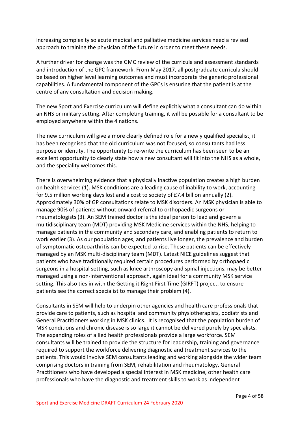increasing complexity so acute medical and palliative medicine services need a revised approach to training the physician of the future in order to meet these needs.

A further driver for change was the GMC review of the curricula and assessment standards and introduction of the GPC framework. From May 2017, all postgraduate curricula should be based on higher level learning outcomes and must incorporate the generic professional capabilities. A fundamental component of the GPCs is ensuring that the patient is at the centre of any consultation and decision making.

The new Sport and Exercise curriculum will define explicitly what a consultant can do within an NHS or military setting. After completing training, it will be possible for a consultant to be employed anywhere within the 4 nations.

The new curriculum will give a more clearly defined role for a newly qualified specialist, it has been recognised that the old curriculum was not focused, so consultants had less purpose or identity. The opportunity to re-write the curriculum has been seen to be an excellent opportunity to clearly state how a new consultant will fit into the NHS as a whole, and the speciality welcomes this.

There is overwhelming evidence that a physically inactive population creates a high burden on health services (1). MSK conditions are a leading cause of inability to work, accounting for 9.5 million working days lost and a cost to society of £7.4 billion annually (2). Approximately 30% of GP consultations relate to MSK disorders. An MSK physician is able to manage 90% of patients without onward referral to orthopaedic surgeons or rheumatologists (3). An SEM trained doctor is the ideal person to lead and govern a multidisciplinary team (MDT) providing MSK Medicine services within the NHS, helping to manage patients in the community and secondary care, and enabling patients to return to work earlier (3). As our population ages, and patients live longer, the prevalence and burden of symptomatic osteoarthritis can be expected to rise. These patients can be effectively managed by an MSK multi-disciplinary team (MDT). Latest NICE guidelines suggest that patients who have traditionally required certain procedures performed by orthopaedic surgeons in a hospital setting, such as knee arthroscopy and spinal injections, may be better managed using a non-interventional approach, again ideal for a community MSK service setting. This also ties in with the Getting it Right First Time (GIRFT) project, to ensure patients see the correct specialist to manage their problem (4).

Consultants in SEM will help to underpin other agencies and health care professionals that provide care to patients, such as hospital and community physiotherapists, podiatrists and General Practitioners working in MSK clinics. It is recognised that the population burden of MSK conditions and chronic disease is so large it cannot be delivered purely by specialists. The expanding roles of allied health professionals provide a large workforce. SEM consultants will be trained to provide the structure for leadership, training and governance required to support the workforce delivering diagnostic and treatment services to the patients. This would involve SEM consultants leading and working alongside the wider team comprising doctors in training from SEM, rehabilitation and rheumatology, General Practitioners who have developed a special interest in MSK medicine, other health care professionals who have the diagnostic and treatment skills to work as independent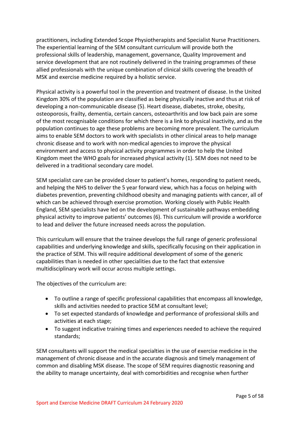practitioners, including Extended Scope Physiotherapists and Specialist Nurse Practitioners. The experiential learning of the SEM consultant curriculum will provide both the professional skills of leadership, management, governance, Quality Improvement and service development that are not routinely delivered in the training programmes of these allied professionals with the unique combination of clinical skills covering the breadth of MSK and exercise medicine required by a holistic service.

Physical activity is a powerful tool in the prevention and treatment of disease. In the United Kingdom 30% of the population are classified as being physically inactive and thus at risk of developing a non-communicable disease (5). Heart disease, diabetes, stroke, obesity, osteoporosis, frailty, dementia, certain cancers, osteoarthritis and low back pain are some of the most recognisable conditions for which there is a link to physical inactivity, and as the population continues to age these problems are becoming more prevalent. The curriculum aims to enable SEM doctors to work with specialists in other clinical areas to help manage chronic disease and to work with non-medical agencies to improve the physical environment and access to physical activity programmes in order to help the United Kingdom meet the WHO goals for increased physical activity (1). SEM does not need to be delivered in a traditional secondary care model.

SEM specialist care can be provided closer to patient's homes, responding to patient needs, and helping the NHS to deliver the 5 year forward view, which has a focus on helping with diabetes prevention, preventing childhood obesity and managing patients with cancer, all of which can be achieved through exercise promotion. Working closely with Public Health England, SEM specialists have led on the development of sustainable pathways embedding physical activity to improve patients' outcomes (6). This curriculum will provide a workforce to lead and deliver the future increased needs across the population.

This curriculum will ensure that the trainee develops the full range of generic professional capabilities and underlying knowledge and skills, specifically focusing on their application in the practice of SEM. This will require additional development of some of the generic capabilities than is needed in other specialities due to the fact that extensive multidisciplinary work will occur across multiple settings.

The objectives of the curriculum are:

- To outline a range of specific professional capabilities that encompass all knowledge, skills and activities needed to practice SEM at consultant level;
- To set expected standards of knowledge and performance of professional skills and activities at each stage;
- To suggest indicative training times and experiences needed to achieve the required standards;

SEM consultants will support the medical specialties in the use of exercise medicine in the management of chronic disease and in the accurate diagnosis and timely management of common and disabling MSK disease. The scope of SEM requires diagnostic reasoning and the ability to manage uncertainty, deal with comorbidities and recognise when further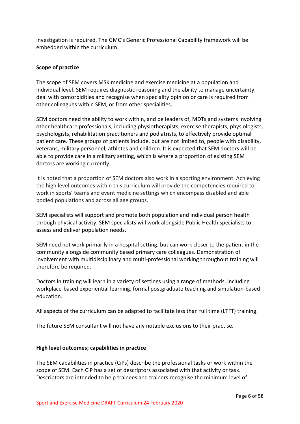investigation is required. The GMC's Generic Professional Capability framework will be embedded within the curriculum.

# **Scope of practice**

The scope of SEM covers MSK medicine and exercise medicine at a population and individual level. SEM requires diagnostic reasoning and the ability to manage uncertainty, deal with comorbidities and recognise when speciality opinion or care is required from other colleagues within SEM, or from other specialities.

SEM doctors need the ability to work within, and be leaders of, MDTs and systems involving other healthcare professionals, including physiotherapists, exercise therapists, physiologists, psychologists, rehabilitation practitioners and podiatrists, to effectively provide optimal patient care. These groups of patients include, but are not limited to, people with disability, veterans, military personnel, athletes and children. It is expected that SEM doctors will be able to provide care in a military setting, which is where a proportion of existing SEM doctors are working currently.

It is noted that a proportion of SEM doctors also work in a sporting environment. Achieving the high level outcomes within this curriculum will provide the competencies required to work in sports' teams and event medicine settings which encompass disabled and able bodied populations and across all age groups.

SEM specialists will support and promote both population and individual person health through physical activity. SEM specialists will work alongside Public Health specialists to assess and deliver population needs.

SEM need not work primarily in a hospital setting, but can work closer to the patient in the community alongside community based primary care colleagues. Demonstration of involvement with multidisciplinary and multi-professional working throughout training will therefore be required.

Doctors in training will learn in a variety of settings using a range of methods, including workplace-based experiential learning, formal postgraduate teaching and simulation-based education.

All aspects of the curriculum can be adapted to facilitate less than full time (LTFT) training.

The future SEM consultant will not have any notable exclusions to their practise.

# **High level outcomes; capabilities in practice**

The SEM capabilities in practice (CiPs) describe the professional tasks or work within the scope of SEM. Each CiP has a set of descriptors associated with that activity or task. Descriptors are intended to help trainees and trainers recognise the minimum level of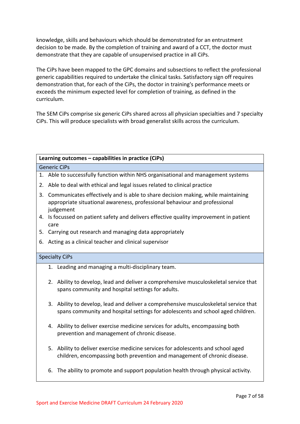knowledge, skills and behaviours which should be demonstrated for an entrustment decision to be made. By the completion of training and award of a CCT, the doctor must demonstrate that they are capable of unsupervised practice in all CiPs.

The CiPs have been mapped to the GPC domains and subsections to reflect the professional generic capabilities required to undertake the clinical tasks. Satisfactory sign off requires demonstration that, for each of the CiPs, the doctor in training's performance meets or exceeds the minimum expected level for completion of training, as defined in the curriculum.

The SEM CiPs comprise six generic CiPs shared across all physician specialties and 7 specialty CiPs. This will produce specialists with broad generalist skills across the curriculum.

# **Learning outcomes – capabilities in practice (CiPs)** Generic CiPs 1. Able to successfully function within NHS organisational and management systems 2. Able to deal with ethical and legal issues related to clinical practice 3. Communicates effectively and is able to share decision making, while maintaining appropriate situational awareness, professional behaviour and professional judgement 4. Is focussed on patient safety and delivers effective quality improvement in patient care 5. Carrying out research and managing data appropriately 6. Acting as a clinical teacher and clinical supervisor Specialty CiPs 1. Leading and managing a multi-disciplinary team. 2. Ability to develop, lead and deliver a comprehensive musculoskeletal service that spans community and hospital settings for adults. 3. Ability to develop, lead and deliver a comprehensive musculoskeletal service that spans community and hospital settings for adolescents and school aged children.

- 4. Ability to deliver exercise medicine services for adults, encompassing both prevention and management of chronic disease.
- 5. Ability to deliver exercise medicine services for adolescents and school aged children, encompassing both prevention and management of chronic disease.
- 6. The ability to promote and support population health through physical activity.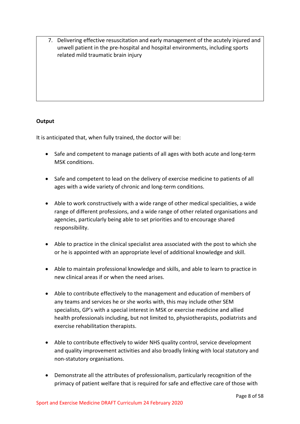7. Delivering effective resuscitation and early management of the acutely injured and unwell patient in the pre-hospital and hospital environments, including sports related mild traumatic brain injury

# **Output**

It is anticipated that, when fully trained, the doctor will be:

- Safe and competent to manage patients of all ages with both acute and long-term MSK conditions.
- Safe and competent to lead on the delivery of exercise medicine to patients of all ages with a wide variety of chronic and long-term conditions.
- Able to work constructively with a wide range of other medical specialities, a wide range of different professions, and a wide range of other related organisations and agencies, particularly being able to set priorities and to encourage shared responsibility.
- Able to practice in the clinical specialist area associated with the post to which she or he is appointed with an appropriate level of additional knowledge and skill.
- Able to maintain professional knowledge and skills, and able to learn to practice in new clinical areas if or when the need arises.
- Able to contribute effectively to the management and education of members of any teams and services he or she works with, this may include other SEM specialists, GP's with a special interest in MSK or exercise medicine and allied health professionals including, but not limited to, physiotherapists, podiatrists and exercise rehabilitation therapists.
- Able to contribute effectively to wider NHS quality control, service development and quality improvement activities and also broadly linking with local statutory and non-statutory organisations.
- Demonstrate all the attributes of professionalism, particularly recognition of the primacy of patient welfare that is required for safe and effective care of those with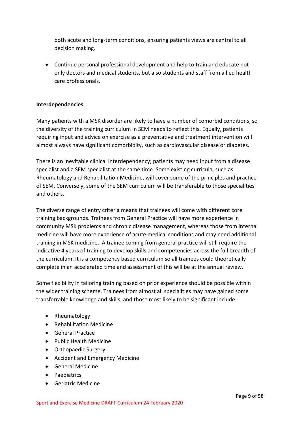both acute and long-term conditions, ensuring patients views are central to all decision making.

• Continue personal professional development and help to train and educate not only doctors and medical students, but also students and staff from allied health care professionals.

# **Interdependencies**

Many patients with a MSK disorder are likely to have a number of comorbid conditions, so the diversity of the training curriculum in SEM needs to reflect this. Equally, patients requiring input and advice on exercise as a preventative and treatment intervention will almost always have significant comorbidity, such as cardiovascular disease or diabetes.

There is an inevitable clinical interdependency; patients may need input from a disease specialist and a SEM specialist at the same time. Some existing curricula, such as Rheumatology and Rehabilitation Medicine, will cover some of the principles and practice of SEM. Conversely, some of the SEM curriculum will be transferable to those specialities and others.

The diverse range of entry criteria means that trainees will come with different core training backgrounds. Trainees from General Practice will have more experience in community MSK problems and chronic disease management, whereas those from internal medicine will have more experience of acute medical conditions and may need additional training in MSK medicine. A trainee coming from general practice will still require the indicative 4 years of training to develop skills and competencies across the full breadth of the curriculum. It is a competency based curriculum so all trainees could theoretically complete in an accelerated time and assessment of this will be at the annual review.

Some flexibility in tailoring training based on prior experience should be possible within the wider training scheme. Trainees from almost all specialities may have gained some transferrable knowledge and skills, and those most likely to be significant include:

- Rheumatology
- Rehabilitation Medicine
- General Practice
- Public Health Medicine
- Orthopaedic Surgery
- Accident and Emergency Medicine
- General Medicine
- Paediatrics
- Geriatric Medicine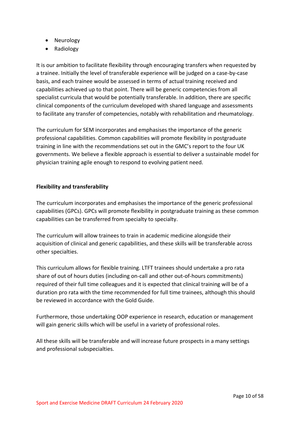- Neurology
- Radiology

It is our ambition to facilitate flexibility through encouraging transfers when requested by a trainee. Initially the level of transferable experience will be judged on a case-by-case basis, and each trainee would be assessed in terms of actual training received and capabilities achieved up to that point. There will be generic competencies from all specialist curricula that would be potentially transferable. In addition, there are specific clinical components of the curriculum developed with shared language and assessments to facilitate any transfer of competencies, notably with rehabilitation and rheumatology.

The curriculum for SEM incorporates and emphasises the importance of the generic professional capabilities. Common capabilities will promote flexibility in postgraduate training in line with the recommendations set out in the GMC's report to the four UK governments. We believe a flexible approach is essential to deliver a sustainable model for physician training agile enough to respond to evolving patient need.

# **Flexibility and transferability**

The curriculum incorporates and emphasises the importance of the generic professional capabilities (GPCs). GPCs will promote flexibility in postgraduate training as these common capabilities can be transferred from specialty to specialty.

The curriculum will allow trainees to train in academic medicine alongside their acquisition of clinical and generic capabilities, and these skills will be transferable across other specialties.

This curriculum allows for flexible training. LTFT trainees should undertake a pro rata share of out of hours duties (including on-call and other out-of-hours commitments) required of their full time colleagues and it is expected that clinical training will be of a duration pro rata with the time recommended for full time trainees, although this should be reviewed in accordance with the Gold Guide.

Furthermore, those undertaking OOP experience in research, education or management will gain generic skills which will be useful in a variety of professional roles.

All these skills will be transferable and will increase future prospects in a many settings and professional subspecialties.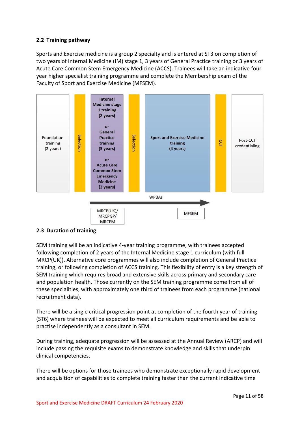# <span id="page-10-0"></span>**2.2 Training pathway**

Sports and Exercise medicine is a group 2 specialty and is entered at ST3 on completion of two years of Internal Medicine (IM) stage 1, 3 years of General Practice training or 3 years of Acute Care Common Stem Emergency Medicine (ACCS). Trainees will take an indicative four year higher specialist training programme and complete the Membership exam of the Faculty of Sport and Exercise Medicine (MFSEM).



# <span id="page-10-1"></span>**2.3 Duration of training**

SEM training will be an indicative 4-year training programme, with trainees accepted following completion of 2 years of the Internal Medicine stage 1 curriculum (with full MRCP(UK)). Alternative core programmes will also include completion of General Practice training, or following completion of ACCS training. This flexibility of entry is a key strength of SEM training which requires broad and extensive skills across primary and secondary care and population health. Those currently on the SEM training programme come from all of these specialities, with approximately one third of trainees from each programme (national recruitment data).

There will be a single critical progression point at completion of the fourth year of training (ST6) where trainees will be expected to meet all curriculum requirements and be able to practise independently as a consultant in SEM.

During training, adequate progression will be assessed at the Annual Review (ARCP) and will include passing the requisite exams to demonstrate knowledge and skills that underpin clinical competencies.

There will be options for those trainees who demonstrate exceptionally rapid development and acquisition of capabilities to complete training faster than the current indicative time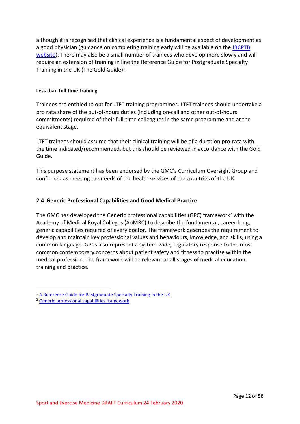although it is recognised that clinical experience is a fundamental aspect of development as a good physician (guidance on completing training early will be available on the [JRCPTB](http://www.jrcptb.org.uk/)  [website\)](http://www.jrcptb.org.uk/). There may also be a small number of trainees who develop more slowly and will require an extension of training in line the Reference Guide for Postgraduate Specialty Training in the UK (The Gold Guide)<sup>1</sup>.

### **Less than full time training**

Trainees are entitled to opt for LTFT training programmes. LTFT trainees should undertake a pro rata share of the out-of-hours duties (including on-call and other out-of-hours commitments) required of their full-time colleagues in the same programme and at the equivalent stage.

LTFT trainees should assume that their clinical training will be of a duration pro-rata with the time indicated/recommended, but this should be reviewed in accordance with the Gold Guide.

This purpose statement has been endorsed by the GMC's Curriculum Oversight Group and confirmed as meeting the needs of the health services of the countries of the UK.

# <span id="page-11-0"></span>**2.4 Generic Professional Capabilities and Good Medical Practice**

The GMC has developed the Generic professional capabilities (GPC) framework<sup>2</sup> with the Academy of Medical Royal Colleges (AoMRC) to describe the fundamental, career-long, generic capabilities required of every doctor. The framework describes the requirement to develop and maintain key professional values and behaviours, knowledge, and skills, using a common language. GPCs also represent a system-wide, regulatory response to the most common contemporary concerns about patient safety and fitness to practise within the medical profession. The framework will be relevant at all stages of medical education, training and practice.

<sup>&</sup>lt;sup>1</sup> [A Reference Guide for Postgraduate Specialty Training in the UK](https://www.copmed.org.uk/publications/the-gold-guide)

<sup>2</sup> [Generic professional capabilities framework](http://www.gmc-uk.org/education/postgraduate/GPC.asp)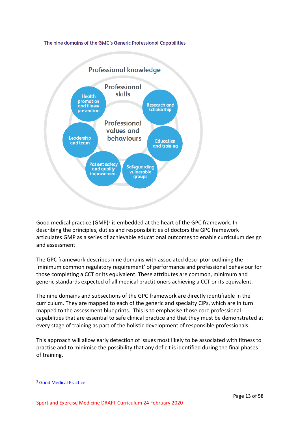### The nine domains of the GMC's Generic Professional Capabilities



Good medical practice (GMP)<sup>3</sup> is embedded at the heart of the GPC framework. In describing the principles, duties and responsibilities of doctors the GPC framework articulates GMP as a series of achievable educational outcomes to enable curriculum design and assessment.

The GPC framework describes nine domains with associated descriptor outlining the 'minimum common regulatory requirement' of performance and professional behaviour for those completing a CCT or its equivalent. These attributes are common, minimum and generic standards expected of all medical practitioners achieving a CCT or its equivalent.

The nine domains and subsections of the GPC framework are directly identifiable in the curriculum. They are mapped to each of the generic and specialty CiPs, which are in turn mapped to the assessment blueprints. This is to emphasise those core professional capabilities that are essential to safe clinical practice and that they must be demonstrated at every stage of training as part of the holistic development of responsible professionals.

This approach will allow early detection of issues most likely to be associated with fitness to practise and to minimise the possibility that any deficit is identified during the final phases of training.

<sup>3</sup> [Good Medical Practice](http://www.gmc-uk.org/guidance/good_medical_practice.asp)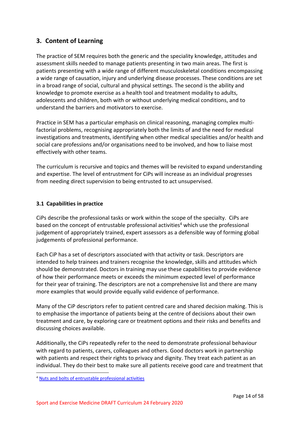# <span id="page-13-0"></span>**3. Content of Learning**

The practice of SEM requires both the generic and the speciality knowledge, attitudes and assessment skills needed to manage patients presenting in two main areas. The first is patients presenting with a wide range of different musculoskeletal conditions encompassing a wide range of causation, injury and underlying disease processes. These conditions are set in a broad range of social, cultural and physical settings. The second is the ability and knowledge to promote exercise as a health tool and treatment modality to adults, adolescents and children, both with or without underlying medical conditions, and to understand the barriers and motivators to exercise.

Practice in SEM has a particular emphasis on clinical reasoning, managing complex multifactorial problems, recognising appropriately both the limits of and the need for medical investigations and treatments, identifying when other medical specialities and/or health and social care professions and/or organisations need to be involved, and how to liaise most effectively with other teams.

The curriculum is recursive and topics and themes will be revisited to expand understanding and expertise. The level of entrustment for CiPs will increase as an individual progresses from needing direct supervision to being entrusted to act unsupervised.

# <span id="page-13-1"></span>**3.1 Capabilities in practice**

CiPs describe the professional tasks or work within the scope of the specialty. CiPs are based on the concept of entrustable professional activities<sup>4</sup> which use the professional judgement of appropriately trained, expert assessors as a defensible way of forming global judgements of professional performance.

Each CiP has a set of descriptors associated with that activity or task. Descriptors are intended to help trainees and trainers recognise the knowledge, skills and attitudes which should be demonstrated. Doctors in training may use these capabilities to provide evidence of how their performance meets or exceeds the minimum expected level of performance for their year of training. The descriptors are not a comprehensive list and there are many more examples that would provide equally valid evidence of performance.

Many of the CiP descriptors refer to patient centred care and shared decision making. This is to emphasise the importance of patients being at the centre of decisions about their own treatment and care, by exploring care or treatment options and their risks and benefits and discussing choices available.

Additionally, the CiPs repeatedly refer to the need to demonstrate professional behaviour with regard to patients, carers, colleagues and others. Good doctors work in partnership with patients and respect their rights to privacy and dignity. They treat each patient as an individual. They do their best to make sure all patients receive good care and treatment that

<sup>4</sup> [Nuts and bolts of entrustable professional activities](https://www.ncbi.nlm.nih.gov/pmc/articles/PMC3613304/)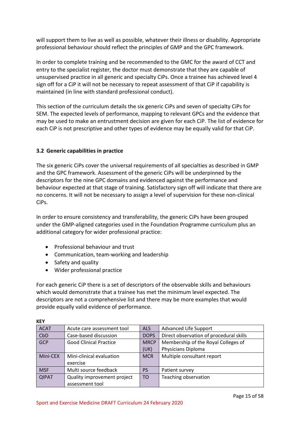will support them to live as well as possible, whatever their illness or disability. Appropriate professional behaviour should reflect the principles of GMP and the GPC framework.

In order to complete training and be recommended to the GMC for the award of CCT and entry to the specialist register, the doctor must demonstrate that they are capable of unsupervised practice in all generic and specialty CiPs. Once a trainee has achieved level 4 sign off for a CiP it will not be necessary to repeat assessment of that CiP if capability is maintained (in line with standard professional conduct).

This section of the curriculum details the six generic CiPs and seven of specialty CiPs for SEM. The expected levels of performance, mapping to relevant GPCs and the evidence that may be used to make an entrustment decision are given for each CiP. The list of evidence for each CiP is not prescriptive and other types of evidence may be equally valid for that CiP.

# <span id="page-14-0"></span>**3.2 Generic capabilities in practice**

The six generic CiPs cover the universal requirements of all specialties as described in GMP and the GPC framework. Assessment of the generic CiPs will be underpinned by the descriptors for the nine GPC domains and evidenced against the performance and behaviour expected at that stage of training. Satisfactory sign off will indicate that there are no concerns. It will not be necessary to assign a level of supervision for these non-clinical CiPs.

In order to ensure consistency and transferability, the generic CiPs have been grouped under the GMP-aligned categories used in the Foundation Programme curriculum plus an additional category for wider professional practice:

- Professional behaviour and trust
- Communication, team-working and leadership
- Safety and quality
- Wider professional practice

For each generic CiP there is a set of descriptors of the observable skills and behaviours which would demonstrate that a trainee has met the minimum level expected. The descriptors are not a comprehensive list and there may be more examples that would provide equally valid evidence of performance.

| <b>ACAT</b>  | Acute care assessment tool    | <b>ALS</b>     | <b>Advanced Life Support</b>            |
|--------------|-------------------------------|----------------|-----------------------------------------|
| CbD          | Case-based discussion         | <b>DOPS</b>    | Direct observation of procedural skills |
| <b>GCP</b>   | <b>Good Clinical Practice</b> | <b>MRCP</b>    | Membership of the Royal Colleges of     |
|              |                               | (UK)           | Physicians Diploma                      |
| Mini-CEX     | Mini-clinical evaluation      | <b>MCR</b>     | Multiple consultant report              |
|              | exercise                      |                |                                         |
| <b>MSF</b>   | Multi source feedback         | <b>PS</b>      | Patient survey                          |
| <b>QIPAT</b> | Quality improvement project   | T <sub>O</sub> | Teaching observation                    |
|              | assessment tool               |                |                                         |

**KEY**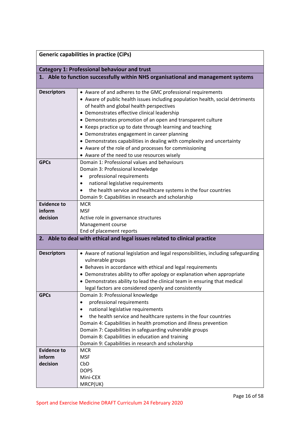|                                                                                   | <b>Generic capabilities in practice (CiPs)</b>                                                                                                                                                                                                                                                                                                                                                                                                                                                                                                                                                           |  |  |
|-----------------------------------------------------------------------------------|----------------------------------------------------------------------------------------------------------------------------------------------------------------------------------------------------------------------------------------------------------------------------------------------------------------------------------------------------------------------------------------------------------------------------------------------------------------------------------------------------------------------------------------------------------------------------------------------------------|--|--|
| <b>Category 1: Professional behaviour and trust</b>                               |                                                                                                                                                                                                                                                                                                                                                                                                                                                                                                                                                                                                          |  |  |
| 1. Able to function successfully within NHS organisational and management systems |                                                                                                                                                                                                                                                                                                                                                                                                                                                                                                                                                                                                          |  |  |
| <b>Descriptors</b>                                                                | • Aware of and adheres to the GMC professional requirements<br>• Aware of public health issues including population health, social detriments<br>of health and global health perspectives<br>• Demonstrates effective clinical leadership<br>• Demonstrates promotion of an open and transparent culture<br>• Keeps practice up to date through learning and teaching<br>• Demonstrates engagement in career planning<br>• Demonstrates capabilities in dealing with complexity and uncertainty<br>• Aware of the role of and processes for commissioning<br>• Aware of the need to use resources wisely |  |  |
| <b>GPCs</b>                                                                       | Domain 1: Professional values and behaviours<br>Domain 3: Professional knowledge<br>professional requirements<br>national legislative requirements<br>$\bullet$<br>the health service and healthcare systems in the four countries<br>Domain 9: Capabilities in research and scholarship                                                                                                                                                                                                                                                                                                                 |  |  |
| <b>Evidence to</b><br>inform<br>decision                                          | <b>MCR</b><br><b>MSF</b><br>Active role in governance structures<br>Management course<br>End of placement reports                                                                                                                                                                                                                                                                                                                                                                                                                                                                                        |  |  |
|                                                                                   | 2. Able to deal with ethical and legal issues related to clinical practice                                                                                                                                                                                                                                                                                                                                                                                                                                                                                                                               |  |  |
| <b>Descriptors</b>                                                                | • Aware of national legislation and legal responsibilities, including safeguarding<br>vulnerable groups<br>• Behaves in accordance with ethical and legal requirements<br>Demonstrates ability to offer apology or explanation when appropriate<br>• Demonstrates ability to lead the clinical team in ensuring that medical<br>legal factors are considered openly and consistently                                                                                                                                                                                                                     |  |  |
| <b>GPCs</b>                                                                       | Domain 3: Professional knowledge<br>professional requirements<br>national legislative requirements<br>٠<br>the health service and healthcare systems in the four countries<br>$\bullet$<br>Domain 4: Capabilities in health promotion and illness prevention<br>Domain 7: Capabilities in safeguarding vulnerable groups<br>Domain 8: Capabilities in education and training<br>Domain 9: Capabilities in research and scholarship                                                                                                                                                                       |  |  |
| <b>Evidence to</b><br>inform<br>decision                                          | <b>MCR</b><br><b>MSF</b><br>CbD<br><b>DOPS</b><br>Mini-CEX<br>MRCP(UK)                                                                                                                                                                                                                                                                                                                                                                                                                                                                                                                                   |  |  |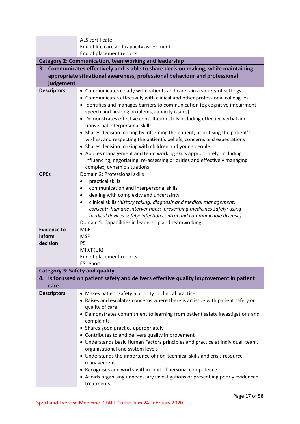|                                       | ALS certificate                                                                                                                                                                                                                                                                                                                                                                                                    |
|---------------------------------------|--------------------------------------------------------------------------------------------------------------------------------------------------------------------------------------------------------------------------------------------------------------------------------------------------------------------------------------------------------------------------------------------------------------------|
|                                       | End of life care and capacity assessment                                                                                                                                                                                                                                                                                                                                                                           |
|                                       | End of placement reports                                                                                                                                                                                                                                                                                                                                                                                           |
|                                       | <b>Category 2: Communication, teamworking and leadership</b>                                                                                                                                                                                                                                                                                                                                                       |
|                                       | 3. Communicates effectively and is able to share decision making, while maintaining                                                                                                                                                                                                                                                                                                                                |
|                                       | appropriate situational awareness, professional behaviour and professional                                                                                                                                                                                                                                                                                                                                         |
| judgement                             |                                                                                                                                                                                                                                                                                                                                                                                                                    |
| <b>Descriptors</b>                    | • Communicates clearly with patients and carers in a variety of settings                                                                                                                                                                                                                                                                                                                                           |
|                                       | • Communicates effectively with clinical and other professional colleagues                                                                                                                                                                                                                                                                                                                                         |
|                                       | • Identifies and manages barriers to communication (eg cognitive impairment,                                                                                                                                                                                                                                                                                                                                       |
|                                       | speech and hearing problems, capacity issues)                                                                                                                                                                                                                                                                                                                                                                      |
|                                       | • Demonstrates effective consultation skills including effective verbal and                                                                                                                                                                                                                                                                                                                                        |
|                                       | nonverbal interpersonal skills                                                                                                                                                                                                                                                                                                                                                                                     |
|                                       | • Shares decision making by informing the patient, prioritising the patient's                                                                                                                                                                                                                                                                                                                                      |
|                                       | wishes, and respecting the patient's beliefs, concerns and expectations                                                                                                                                                                                                                                                                                                                                            |
|                                       | • Shares decision making with children and young people                                                                                                                                                                                                                                                                                                                                                            |
|                                       | • Applies management and team working skills appropriately, including                                                                                                                                                                                                                                                                                                                                              |
|                                       | influencing, negotiating, re-assessing priorities and effectively managing                                                                                                                                                                                                                                                                                                                                         |
|                                       | complex, dynamic situations                                                                                                                                                                                                                                                                                                                                                                                        |
| <b>GPCs</b>                           | Domain 2: Professional skills                                                                                                                                                                                                                                                                                                                                                                                      |
|                                       | practical skills<br>٠                                                                                                                                                                                                                                                                                                                                                                                              |
|                                       | communication and interpersonal skills                                                                                                                                                                                                                                                                                                                                                                             |
|                                       | dealing with complexity and uncertainty<br>clinical skills (history taking, diagnosis and medical management;                                                                                                                                                                                                                                                                                                      |
|                                       | consent; humane interventions; prescribing medicines safely; using                                                                                                                                                                                                                                                                                                                                                 |
|                                       | medical devices safely; infection control and communicable disease)                                                                                                                                                                                                                                                                                                                                                |
|                                       | Domain 5: Capabilities in leadership and teamworking                                                                                                                                                                                                                                                                                                                                                               |
| <b>Evidence to</b>                    | <b>MCR</b>                                                                                                                                                                                                                                                                                                                                                                                                         |
| inform                                | <b>MSF</b>                                                                                                                                                                                                                                                                                                                                                                                                         |
| decision                              | PS                                                                                                                                                                                                                                                                                                                                                                                                                 |
|                                       | MRCP(UK)                                                                                                                                                                                                                                                                                                                                                                                                           |
|                                       | End of placement reports                                                                                                                                                                                                                                                                                                                                                                                           |
|                                       | ES report                                                                                                                                                                                                                                                                                                                                                                                                          |
| <b>Category 3: Safety and quality</b> |                                                                                                                                                                                                                                                                                                                                                                                                                    |
|                                       | 4. Is focussed on patient safety and delivers effective quality improvement in patient                                                                                                                                                                                                                                                                                                                             |
| care                                  |                                                                                                                                                                                                                                                                                                                                                                                                                    |
| <b>Descriptors</b>                    | • Makes patient safety a priority in clinical practice                                                                                                                                                                                                                                                                                                                                                             |
|                                       |                                                                                                                                                                                                                                                                                                                                                                                                                    |
|                                       |                                                                                                                                                                                                                                                                                                                                                                                                                    |
|                                       |                                                                                                                                                                                                                                                                                                                                                                                                                    |
|                                       |                                                                                                                                                                                                                                                                                                                                                                                                                    |
|                                       |                                                                                                                                                                                                                                                                                                                                                                                                                    |
|                                       |                                                                                                                                                                                                                                                                                                                                                                                                                    |
|                                       |                                                                                                                                                                                                                                                                                                                                                                                                                    |
|                                       |                                                                                                                                                                                                                                                                                                                                                                                                                    |
|                                       |                                                                                                                                                                                                                                                                                                                                                                                                                    |
|                                       | • Understands the importance of non-technical skills and crisis resource                                                                                                                                                                                                                                                                                                                                           |
|                                       | management                                                                                                                                                                                                                                                                                                                                                                                                         |
|                                       | • Recognises and works within limit of personal competence<br>• Avoids organising unnecessary investigations or prescribing poorly evidenced                                                                                                                                                                                                                                                                       |
|                                       | • Raises and escalates concerns where there is an issue with patient safety or<br>quality of care<br>• Demonstrates commitment to learning from patient safety investigations and<br>complaints<br>• Shares good practice appropriately<br>• Contributes to and delivers quality improvement<br>• Understands basic Human Factors principles and practice at individual, team,<br>organisational and system levels |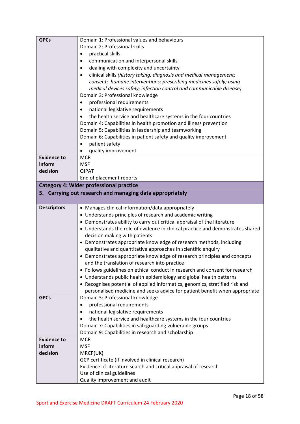| <b>GPCs</b>        | Domain 1: Professional values and behaviours                                                                                                                |
|--------------------|-------------------------------------------------------------------------------------------------------------------------------------------------------------|
|                    | Domain 2: Professional skills                                                                                                                               |
|                    | practical skills<br>$\bullet$                                                                                                                               |
|                    | communication and interpersonal skills<br>٠                                                                                                                 |
|                    | dealing with complexity and uncertainty                                                                                                                     |
|                    | clinical skills (history taking, diagnosis and medical management;                                                                                          |
|                    | consent; humane interventions; prescribing medicines safely; using                                                                                          |
|                    | medical devices safely; infection control and communicable disease)                                                                                         |
|                    | Domain 3: Professional knowledge                                                                                                                            |
|                    | professional requirements                                                                                                                                   |
|                    | national legislative requirements                                                                                                                           |
|                    | the health service and healthcare systems in the four countries                                                                                             |
|                    | Domain 4: Capabilities in health promotion and illness prevention                                                                                           |
|                    | Domain 5: Capabilities in leadership and teamworking                                                                                                        |
|                    | Domain 6: Capabilities in patient safety and quality improvement                                                                                            |
|                    | patient safety                                                                                                                                              |
|                    | quality improvement                                                                                                                                         |
| <b>Evidence to</b> | <b>MCR</b>                                                                                                                                                  |
| inform             | <b>MSF</b>                                                                                                                                                  |
| decision           | <b>QIPAT</b>                                                                                                                                                |
|                    | End of placement reports                                                                                                                                    |
|                    | <b>Category 4: Wider professional practice</b>                                                                                                              |
|                    | 5. Carrying out research and managing data appropriately                                                                                                    |
|                    |                                                                                                                                                             |
| <b>Descriptors</b> | • Manages clinical information/data appropriately                                                                                                           |
|                    | • Understands principles of research and academic writing                                                                                                   |
|                    |                                                                                                                                                             |
|                    | • Demonstrates ability to carry out critical appraisal of the literature<br>• Understands the role of evidence in clinical practice and demonstrates shared |
|                    | decision making with patients                                                                                                                               |
|                    | • Demonstrates appropriate knowledge of research methods, including                                                                                         |
|                    | qualitative and quantitative approaches in scientific enquiry                                                                                               |
|                    | • Demonstrates appropriate knowledge of research principles and concepts                                                                                    |
|                    | and the translation of research into practice                                                                                                               |
|                    | • Follows guidelines on ethical conduct in research and consent for research                                                                                |
|                    | • Understands public health epidemiology and global health patterns                                                                                         |
|                    | • Recognises potential of applied informatics, genomics, stratified risk and                                                                                |
|                    | personalised medicine and seeks advice for patient benefit when appropriate                                                                                 |
| <b>GPCs</b>        | Domain 3: Professional knowledge                                                                                                                            |
|                    | professional requirements<br>$\bullet$                                                                                                                      |
|                    | national legislative requirements                                                                                                                           |
|                    | the health service and healthcare systems in the four countries                                                                                             |
|                    | Domain 7: Capabilities in safeguarding vulnerable groups                                                                                                    |
|                    | Domain 9: Capabilities in research and scholarship                                                                                                          |
| <b>Evidence to</b> | <b>MCR</b>                                                                                                                                                  |
| inform             | <b>MSF</b>                                                                                                                                                  |
| decision           | MRCP(UK)                                                                                                                                                    |
|                    | GCP certificate (if involved in clinical research)                                                                                                          |
|                    | Evidence of literature search and critical appraisal of research                                                                                            |
|                    | Use of clinical guidelines                                                                                                                                  |
|                    | Quality improvement and audit                                                                                                                               |
|                    |                                                                                                                                                             |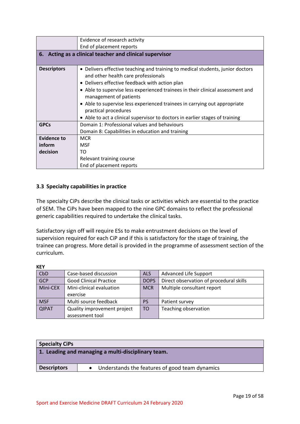|                    | Evidence of research activity                                                  |
|--------------------|--------------------------------------------------------------------------------|
|                    | End of placement reports                                                       |
|                    | 6. Acting as a clinical teacher and clinical supervisor                        |
|                    |                                                                                |
| <b>Descriptors</b> | • Delivers effective teaching and training to medical students, junior doctors |
|                    | and other health care professionals                                            |
|                    | • Delivers effective feedback with action plan                                 |
|                    | • Able to supervise less experienced trainees in their clinical assessment and |
|                    | management of patients                                                         |
|                    | • Able to supervise less experienced trainees in carrying out appropriate      |
|                    | practical procedures                                                           |
|                    | • Able to act a clinical supervisor to doctors in earlier stages of training   |
| <b>GPCs</b>        | Domain 1: Professional values and behaviours                                   |
|                    | Domain 8: Capabilities in education and training                               |
| <b>Evidence to</b> | <b>MCR</b>                                                                     |
| inform             | <b>MSF</b>                                                                     |
| decision           | TO                                                                             |
|                    | Relevant training course                                                       |
|                    | End of placement reports                                                       |

# <span id="page-18-0"></span>**3.3 Specialty capabilities in practice**

The specialty CiPs describe the clinical tasks or activities which are essential to the practice of SEM. The CiPs have been mapped to the nine GPC domains to reflect the professional generic capabilities required to undertake the clinical tasks.

Satisfactory sign off will require ESs to make entrustment decisions on the level of supervision required for each CiP and if this is satisfactory for the stage of training, the trainee can progress. More detail is provided in the programme of assessment section of the curriculum.

| CbD          | Case-based discussion         | <b>ALS</b>  | Advanced Life Support                   |
|--------------|-------------------------------|-------------|-----------------------------------------|
| GCP          | <b>Good Clinical Practice</b> | <b>DOPS</b> | Direct observation of procedural skills |
| Mini-CEX     | Mini-clinical evaluation      | <b>MCR</b>  | Multiple consultant report              |
|              | exercise                      |             |                                         |
| <b>MSF</b>   | Multi source feedback         | <b>PS</b>   | Patient survey                          |
| <b>QIPAT</b> | Quality improvement project   | <b>TO</b>   | Teaching observation                    |
|              | assessment tool               |             |                                         |

| 1. Leading and managing a multi-disciplinary team.                     |  |  |
|------------------------------------------------------------------------|--|--|
|                                                                        |  |  |
| <b>Descriptors</b><br>• Understands the features of good team dynamics |  |  |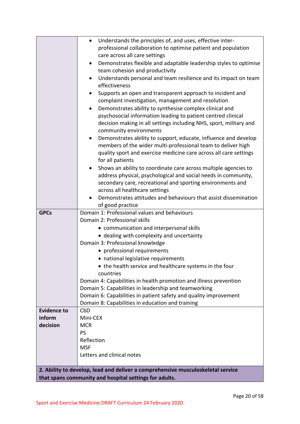|                    | Understands the principles of, and uses, effective inter-<br>$\bullet$          |
|--------------------|---------------------------------------------------------------------------------|
|                    | professional collaboration to optimise patient and population                   |
|                    | care across all care settings                                                   |
|                    | Demonstrates flexible and adaptable leadership styles to optimise<br>٠          |
|                    | team cohesion and productivity                                                  |
|                    | Understands personal and team resilience and its impact on team                 |
|                    | effectiveness                                                                   |
|                    | Supports an open and transparent approach to incident and                       |
|                    | complaint investigation, management and resolution                              |
|                    | Demonstrates ability to synthesise complex clinical and                         |
|                    | psychosocial information leading to patient centred clinical                    |
|                    | decision making in all settings including NHS, sport, military and              |
|                    | community environments                                                          |
|                    | Demonstrates ability to support, educate, influence and develop<br>٠            |
|                    | members of the wider multi-professional team to deliver high                    |
|                    | quality sport and exercise medicine care across all care settings               |
|                    | for all patients                                                                |
|                    | Shows an ability to coordinate care across multiple agencies to                 |
|                    | address physical, psychological and social needs in community,                  |
|                    | secondary care, recreational and sporting environments and                      |
|                    | across all healthcare settings                                                  |
|                    | Demonstrates attitudes and behaviours that assist dissemination                 |
|                    | of good practice                                                                |
| <b>GPCs</b>        | Domain 1: Professional values and behaviours                                    |
|                    | Domain 2: Professional skills                                                   |
|                    | • communication and interpersonal skills                                        |
|                    | • dealing with complexity and uncertainty                                       |
|                    | Domain 3: Professional knowledge                                                |
|                    | • professional requirements                                                     |
|                    | • national legislative requirements                                             |
|                    | • the health service and healthcare systems in the four                         |
|                    | countries                                                                       |
|                    | Domain 4: Capabilities in health promotion and illness prevention               |
|                    | Domain 5: Capabilities in leadership and teamworking                            |
|                    | Domain 6: Capabilities in patient safety and quality improvement                |
|                    | Domain 8: Capabilities in education and training                                |
| <b>Evidence to</b> | CbD                                                                             |
| inform             | Mini-CEX                                                                        |
| decision           | <b>MCR</b>                                                                      |
|                    | <b>PS</b>                                                                       |
|                    | Reflection                                                                      |
|                    | <b>MSF</b>                                                                      |
|                    | Letters and clinical notes                                                      |
|                    |                                                                                 |
|                    | 2. Ability to develop, lead and deliver a comprehensive musculoskeletal service |
|                    | that spans community and hospital settings for adults.                          |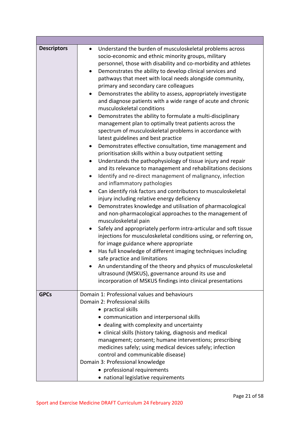| <b>Descriptors</b> | Understand the burden of musculoskeletal problems across<br>$\bullet$<br>socio-economic and ethnic minority groups, military<br>personnel, those with disability and co-morbidity and athletes<br>Demonstrates the ability to develop clinical services and<br>٠<br>pathways that meet with local needs alongside community,<br>primary and secondary care colleagues<br>Demonstrates the ability to assess, appropriately investigate<br>$\bullet$<br>and diagnose patients with a wide range of acute and chronic<br>musculoskeletal conditions<br>Demonstrates the ability to formulate a multi-disciplinary<br>management plan to optimally treat patients across the<br>spectrum of musculoskeletal problems in accordance with<br>latest guidelines and best practice<br>Demonstrates effective consultation, time management and<br>$\bullet$<br>prioritisation skills within a busy outpatient setting<br>Understands the pathophysiology of tissue injury and repair<br>$\bullet$<br>and its relevance to management and rehabilitations decisions<br>Identify and re-direct management of malignancy, infection<br>$\bullet$<br>and inflammatory pathologies<br>Can identify risk factors and contributors to musculoskeletal<br>$\bullet$<br>injury including relative energy deficiency<br>Demonstrates knowledge and utilisation of pharmacological<br>$\bullet$<br>and non-pharmacological approaches to the management of<br>musculoskeletal pain<br>Safely and appropriately perform intra-articular and soft tissue<br>$\bullet$<br>injections for musculoskeletal conditions using, or referring on,<br>for image guidance where appropriate<br>Has full knowledge of different imaging techniques including<br>$\bullet$<br>safe practice and limitations<br>An understanding of the theory and physics of musculoskeletal<br>ultrasound (MSKUS), governance around its use and<br>incorporation of MSKUS findings into clinical presentations |
|--------------------|-------------------------------------------------------------------------------------------------------------------------------------------------------------------------------------------------------------------------------------------------------------------------------------------------------------------------------------------------------------------------------------------------------------------------------------------------------------------------------------------------------------------------------------------------------------------------------------------------------------------------------------------------------------------------------------------------------------------------------------------------------------------------------------------------------------------------------------------------------------------------------------------------------------------------------------------------------------------------------------------------------------------------------------------------------------------------------------------------------------------------------------------------------------------------------------------------------------------------------------------------------------------------------------------------------------------------------------------------------------------------------------------------------------------------------------------------------------------------------------------------------------------------------------------------------------------------------------------------------------------------------------------------------------------------------------------------------------------------------------------------------------------------------------------------------------------------------------------------------------------------------------------------------------------------------------------------------------------|
| <b>GPCs</b>        | Domain 1: Professional values and behaviours<br>Domain 2: Professional skills<br>• practical skills<br>• communication and interpersonal skills<br>• dealing with complexity and uncertainty<br>• clinical skills (history taking, diagnosis and medical<br>management; consent; humane interventions; prescribing<br>medicines safely; using medical devices safely; infection<br>control and communicable disease)<br>Domain 3: Professional knowledge<br>• professional requirements<br>• national legislative requirements                                                                                                                                                                                                                                                                                                                                                                                                                                                                                                                                                                                                                                                                                                                                                                                                                                                                                                                                                                                                                                                                                                                                                                                                                                                                                                                                                                                                                                    |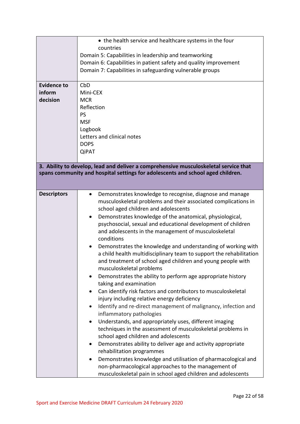| <b>Evidence to</b><br>inform<br>decision                                                                                                                                | • the health service and healthcare systems in the four<br>countries<br>Domain 5: Capabilities in leadership and teamworking<br>Domain 6: Capabilities in patient safety and quality improvement<br>Domain 7: Capabilities in safeguarding vulnerable groups<br>CbD<br>Mini-CEX<br><b>MCR</b><br>Reflection<br>PS<br><b>MSF</b><br>Logbook<br>Letters and clinical notes<br><b>DOPS</b><br><b>QiPAT</b>                                                                                                                                                                                                                                                                                                                                                                                                                                                                                                                                                                                                                                                                                                                                                                                                                                                                                                                                                                                       |  |  |
|-------------------------------------------------------------------------------------------------------------------------------------------------------------------------|-----------------------------------------------------------------------------------------------------------------------------------------------------------------------------------------------------------------------------------------------------------------------------------------------------------------------------------------------------------------------------------------------------------------------------------------------------------------------------------------------------------------------------------------------------------------------------------------------------------------------------------------------------------------------------------------------------------------------------------------------------------------------------------------------------------------------------------------------------------------------------------------------------------------------------------------------------------------------------------------------------------------------------------------------------------------------------------------------------------------------------------------------------------------------------------------------------------------------------------------------------------------------------------------------------------------------------------------------------------------------------------------------|--|--|
| 3. Ability to develop, lead and deliver a comprehensive musculoskeletal service that<br>spans community and hospital settings for adolescents and school aged children. |                                                                                                                                                                                                                                                                                                                                                                                                                                                                                                                                                                                                                                                                                                                                                                                                                                                                                                                                                                                                                                                                                                                                                                                                                                                                                                                                                                                               |  |  |
| <b>Descriptors</b>                                                                                                                                                      | Demonstrates knowledge to recognise, diagnose and manage<br>$\bullet$<br>musculoskeletal problems and their associated complications in<br>school aged children and adolescents<br>Demonstrates knowledge of the anatomical, physiological,<br>psychosocial, sexual and educational development of children<br>and adolescents in the management of musculoskeletal<br>conditions<br>Demonstrates the knowledge and understanding of working with<br>a child health multidisciplinary team to support the rehabilitation<br>and treatment of school aged children and young people with<br>musculoskeletal problems<br>Demonstrates the ability to perform age appropriate history<br>taking and examination<br>Can identify risk factors and contributors to musculoskeletal<br>injury including relative energy deficiency<br>Identify and re-direct management of malignancy, infection and<br>inflammatory pathologies<br>Understands, and appropriately uses, different imaging<br>techniques in the assessment of musculoskeletal problems in<br>school aged children and adolescents<br>Demonstrates ability to deliver age and activity appropriate<br>$\bullet$<br>rehabilitation programmes<br>Demonstrates knowledge and utilisation of pharmacological and<br>non-pharmacological approaches to the management of<br>musculoskeletal pain in school aged children and adolescents |  |  |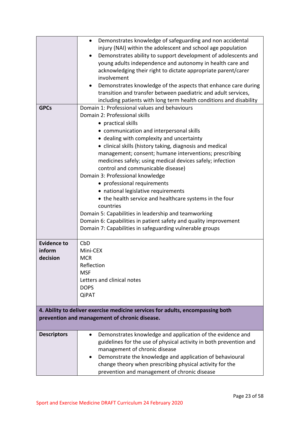|                    | Demonstrates knowledge of safeguarding and non accidental<br>$\bullet$         |  |  |  |
|--------------------|--------------------------------------------------------------------------------|--|--|--|
|                    | injury (NAI) within the adolescent and school age population                   |  |  |  |
|                    | Demonstrates ability to support development of adolescents and<br>$\bullet$    |  |  |  |
|                    | young adults independence and autonomy in health care and                      |  |  |  |
|                    | acknowledging their right to dictate appropriate parent/carer                  |  |  |  |
|                    | involvement                                                                    |  |  |  |
|                    | Demonstrates knowledge of the aspects that enhance care during                 |  |  |  |
|                    | transition and transfer between paediatric and adult services,                 |  |  |  |
|                    | including patients with long term health conditions and disability             |  |  |  |
| <b>GPCs</b>        | Domain 1: Professional values and behaviours                                   |  |  |  |
|                    | Domain 2: Professional skills                                                  |  |  |  |
|                    | • practical skills                                                             |  |  |  |
|                    | • communication and interpersonal skills                                       |  |  |  |
|                    | • dealing with complexity and uncertainty                                      |  |  |  |
|                    | • clinical skills (history taking, diagnosis and medical                       |  |  |  |
|                    | management; consent; humane interventions; prescribing                         |  |  |  |
|                    | medicines safely; using medical devices safely; infection                      |  |  |  |
|                    | control and communicable disease)                                              |  |  |  |
|                    | Domain 3: Professional knowledge                                               |  |  |  |
|                    | • professional requirements                                                    |  |  |  |
|                    | • national legislative requirements                                            |  |  |  |
|                    | • the health service and healthcare systems in the four                        |  |  |  |
|                    | countries                                                                      |  |  |  |
|                    | Domain 5: Capabilities in leadership and teamworking                           |  |  |  |
|                    | Domain 6: Capabilities in patient safety and quality improvement               |  |  |  |
|                    | Domain 7: Capabilities in safeguarding vulnerable groups                       |  |  |  |
|                    |                                                                                |  |  |  |
| <b>Evidence to</b> | CbD                                                                            |  |  |  |
| inform             | Mini-CEX                                                                       |  |  |  |
| decision           | <b>MCR</b>                                                                     |  |  |  |
|                    | Reflection                                                                     |  |  |  |
|                    | <b>MSF</b>                                                                     |  |  |  |
|                    | Letters and clinical notes                                                     |  |  |  |
|                    | <b>DOPS</b>                                                                    |  |  |  |
|                    | <b>QiPAT</b>                                                                   |  |  |  |
|                    |                                                                                |  |  |  |
|                    | 4. Ability to deliver exercise medicine services for adults, encompassing both |  |  |  |
|                    | prevention and management of chronic disease.                                  |  |  |  |
|                    |                                                                                |  |  |  |
| <b>Descriptors</b> | Demonstrates knowledge and application of the evidence and                     |  |  |  |
|                    | guidelines for the use of physical activity in both prevention and             |  |  |  |
|                    | management of chronic disease                                                  |  |  |  |
|                    | Demonstrate the knowledge and application of behavioural                       |  |  |  |
|                    | change theory when prescribing physical activity for the                       |  |  |  |
|                    | prevention and management of chronic disease                                   |  |  |  |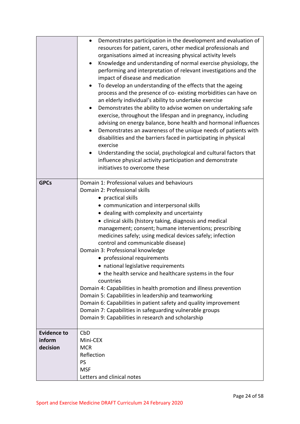|                                          | Demonstrates participation in the development and evaluation of<br>$\bullet$<br>resources for patient, carers, other medical professionals and<br>organisations aimed at increasing physical activity levels<br>Knowledge and understanding of normal exercise physiology, the<br>$\bullet$<br>performing and interpretation of relevant investigations and the<br>impact of disease and medication<br>To develop an understanding of the effects that the ageing<br>$\bullet$<br>process and the presence of co-existing morbidities can have on<br>an elderly individual's ability to undertake exercise<br>Demonstrates the ability to advise women on undertaking safe<br>$\bullet$<br>exercise, throughout the lifespan and in pregnancy, including<br>advising on energy balance, bone health and hormonal influences<br>Demonstrates an awareness of the unique needs of patients with<br>$\bullet$<br>disabilities and the barriers faced in participating in physical<br>exercise<br>Understanding the social, psychological and cultural factors that<br>$\bullet$<br>influence physical activity participation and demonstrate<br>initiatives to overcome these |
|------------------------------------------|----------------------------------------------------------------------------------------------------------------------------------------------------------------------------------------------------------------------------------------------------------------------------------------------------------------------------------------------------------------------------------------------------------------------------------------------------------------------------------------------------------------------------------------------------------------------------------------------------------------------------------------------------------------------------------------------------------------------------------------------------------------------------------------------------------------------------------------------------------------------------------------------------------------------------------------------------------------------------------------------------------------------------------------------------------------------------------------------------------------------------------------------------------------------------|
| <b>GPCs</b>                              | Domain 1: Professional values and behaviours<br>Domain 2: Professional skills<br>• practical skills<br>• communication and interpersonal skills<br>• dealing with complexity and uncertainty<br>• clinical skills (history taking, diagnosis and medical<br>management; consent; humane interventions; prescribing<br>medicines safely; using medical devices safely; infection<br>control and communicable disease)<br>Domain 3: Professional knowledge<br>• professional requirements<br>• national legislative requirements<br>• the health service and healthcare systems in the four<br>countries<br>Domain 4: Capabilities in health promotion and illness prevention<br>Domain 5: Capabilities in leadership and teamworking<br>Domain 6: Capabilities in patient safety and quality improvement<br>Domain 7: Capabilities in safeguarding vulnerable groups<br>Domain 9: Capabilities in research and scholarship                                                                                                                                                                                                                                                  |
| <b>Evidence to</b><br>inform<br>decision | CbD<br>Mini-CEX<br><b>MCR</b><br>Reflection<br><b>PS</b><br><b>MSF</b><br>Letters and clinical notes                                                                                                                                                                                                                                                                                                                                                                                                                                                                                                                                                                                                                                                                                                                                                                                                                                                                                                                                                                                                                                                                       |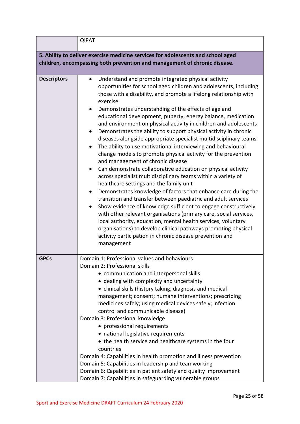|                                                                                  | <b>QiPAT</b>                                                                                                                                                                                                                                                                                                                                                                                                                                                                                                                                                                                                                                                                                                                                                                                                                                                                                                                                                                                                                                                                                                                                                                                                                                                                                                                                                                                                                   |  |  |  |
|----------------------------------------------------------------------------------|--------------------------------------------------------------------------------------------------------------------------------------------------------------------------------------------------------------------------------------------------------------------------------------------------------------------------------------------------------------------------------------------------------------------------------------------------------------------------------------------------------------------------------------------------------------------------------------------------------------------------------------------------------------------------------------------------------------------------------------------------------------------------------------------------------------------------------------------------------------------------------------------------------------------------------------------------------------------------------------------------------------------------------------------------------------------------------------------------------------------------------------------------------------------------------------------------------------------------------------------------------------------------------------------------------------------------------------------------------------------------------------------------------------------------------|--|--|--|
| 5. Ability to deliver exercise medicine services for adolescents and school aged |                                                                                                                                                                                                                                                                                                                                                                                                                                                                                                                                                                                                                                                                                                                                                                                                                                                                                                                                                                                                                                                                                                                                                                                                                                                                                                                                                                                                                                |  |  |  |
| children, encompassing both prevention and management of chronic disease.        |                                                                                                                                                                                                                                                                                                                                                                                                                                                                                                                                                                                                                                                                                                                                                                                                                                                                                                                                                                                                                                                                                                                                                                                                                                                                                                                                                                                                                                |  |  |  |
|                                                                                  |                                                                                                                                                                                                                                                                                                                                                                                                                                                                                                                                                                                                                                                                                                                                                                                                                                                                                                                                                                                                                                                                                                                                                                                                                                                                                                                                                                                                                                |  |  |  |
| <b>Descriptors</b>                                                               | Understand and promote integrated physical activity<br>$\bullet$<br>opportunities for school aged children and adolescents, including<br>those with a disability, and promote a lifelong relationship with<br>exercise<br>Demonstrates understanding of the effects of age and<br>educational development, puberty, energy balance, medication<br>and environment on physical activity in children and adolescents<br>Demonstrates the ability to support physical activity in chronic<br>diseases alongside appropriate specialist multidisciplinary teams<br>The ability to use motivational interviewing and behavioural<br>change models to promote physical activity for the prevention<br>and management of chronic disease<br>Can demonstrate collaborative education on physical activity<br>across specialist multidisciplinary teams within a variety of<br>healthcare settings and the family unit<br>Demonstrates knowledge of factors that enhance care during the<br>$\bullet$<br>transition and transfer between paediatric and adult services<br>Show evidence of knowledge sufficient to engage constructively<br>$\bullet$<br>with other relevant organisations (primary care, social services,<br>local authority, education, mental health services, voluntary<br>organisations) to develop clinical pathways promoting physical<br>activity participation in chronic disease prevention and<br>management |  |  |  |
| <b>GPCs</b>                                                                      | Domain 1: Professional values and behaviours<br>Domain 2: Professional skills<br>• communication and interpersonal skills<br>• dealing with complexity and uncertainty<br>• clinical skills (history taking, diagnosis and medical<br>management; consent; humane interventions; prescribing<br>medicines safely; using medical devices safely; infection<br>control and communicable disease)<br>Domain 3: Professional knowledge<br>• professional requirements<br>• national legislative requirements<br>• the health service and healthcare systems in the four<br>countries<br>Domain 4: Capabilities in health promotion and illness prevention<br>Domain 5: Capabilities in leadership and teamworking<br>Domain 6: Capabilities in patient safety and quality improvement<br>Domain 7: Capabilities in safeguarding vulnerable groups                                                                                                                                                                                                                                                                                                                                                                                                                                                                                                                                                                                  |  |  |  |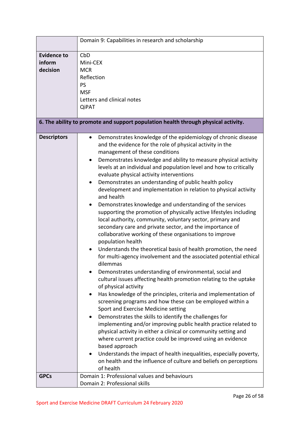|                                          | Domain 9: Capabilities in research and scholarship                                                                                                                                                                                                                                                                                                                                                                                                                                                                                                                                                                                                                                                                                                                                                                                                                                                                                                                                                                                                                                                                                                                                                                                                                                                                                                                                                                                                                                                                                                                                                                                                                                                                                                                                                    |  |  |
|------------------------------------------|-------------------------------------------------------------------------------------------------------------------------------------------------------------------------------------------------------------------------------------------------------------------------------------------------------------------------------------------------------------------------------------------------------------------------------------------------------------------------------------------------------------------------------------------------------------------------------------------------------------------------------------------------------------------------------------------------------------------------------------------------------------------------------------------------------------------------------------------------------------------------------------------------------------------------------------------------------------------------------------------------------------------------------------------------------------------------------------------------------------------------------------------------------------------------------------------------------------------------------------------------------------------------------------------------------------------------------------------------------------------------------------------------------------------------------------------------------------------------------------------------------------------------------------------------------------------------------------------------------------------------------------------------------------------------------------------------------------------------------------------------------------------------------------------------------|--|--|
| <b>Evidence to</b><br>inform<br>decision | CbD<br>Mini-CEX<br><b>MCR</b><br>Reflection<br><b>PS</b><br><b>MSF</b><br>Letters and clinical notes<br><b>QiPAT</b>                                                                                                                                                                                                                                                                                                                                                                                                                                                                                                                                                                                                                                                                                                                                                                                                                                                                                                                                                                                                                                                                                                                                                                                                                                                                                                                                                                                                                                                                                                                                                                                                                                                                                  |  |  |
|                                          | 6. The ability to promote and support population health through physical activity.                                                                                                                                                                                                                                                                                                                                                                                                                                                                                                                                                                                                                                                                                                                                                                                                                                                                                                                                                                                                                                                                                                                                                                                                                                                                                                                                                                                                                                                                                                                                                                                                                                                                                                                    |  |  |
| <b>Descriptors</b>                       | Demonstrates knowledge of the epidemiology of chronic disease<br>$\bullet$<br>and the evidence for the role of physical activity in the<br>management of these conditions<br>Demonstrates knowledge and ability to measure physical activity<br>٠<br>levels at an individual and population level and how to critically<br>evaluate physical activity interventions<br>Demonstrates an understanding of public health policy<br>development and implementation in relation to physical activity<br>and health<br>Demonstrates knowledge and understanding of the services<br>supporting the promotion of physically active lifestyles including<br>local authority, community, voluntary sector, primary and<br>secondary care and private sector, and the importance of<br>collaborative working of these organisations to improve<br>population health<br>Understands the theoretical basis of health promotion, the need<br>for multi-agency involvement and the associated potential ethical<br>dilemmas<br>Demonstrates understanding of environmental, social and<br>cultural issues affecting health promotion relating to the uptake<br>of physical activity<br>Has knowledge of the principles, criteria and implementation of<br>$\bullet$<br>screening programs and how these can be employed within a<br>Sport and Exercise Medicine setting<br>Demonstrates the skills to identify the challenges for<br>implementing and/or improving public health practice related to<br>physical activity in either a clinical or community setting and<br>where current practice could be improved using an evidence<br>based approach<br>Understands the impact of health inequalities, especially poverty,<br>٠<br>on health and the influence of culture and beliefs on perceptions<br>of health |  |  |
| <b>GPCs</b>                              | Domain 1: Professional values and behaviours<br>Domain 2: Professional skills                                                                                                                                                                                                                                                                                                                                                                                                                                                                                                                                                                                                                                                                                                                                                                                                                                                                                                                                                                                                                                                                                                                                                                                                                                                                                                                                                                                                                                                                                                                                                                                                                                                                                                                         |  |  |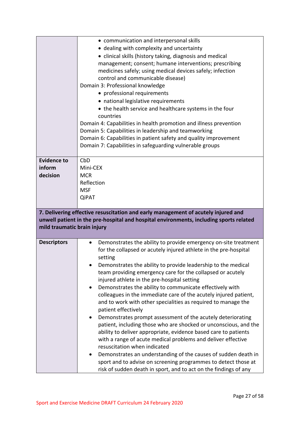|                                          | • communication and interpersonal skills<br>• dealing with complexity and uncertainty<br>• clinical skills (history taking, diagnosis and medical<br>management; consent; humane interventions; prescribing<br>medicines safely; using medical devices safely; infection<br>control and communicable disease)<br>Domain 3: Professional knowledge<br>• professional requirements<br>• national legislative requirements<br>• the health service and healthcare systems in the four<br>countries<br>Domain 4: Capabilities in health promotion and illness prevention<br>Domain 5: Capabilities in leadership and teamworking<br>Domain 6: Capabilities in patient safety and quality improvement<br>Domain 7: Capabilities in safeguarding vulnerable groups                                                                                                                                                                                                                                                                                                                    |
|------------------------------------------|---------------------------------------------------------------------------------------------------------------------------------------------------------------------------------------------------------------------------------------------------------------------------------------------------------------------------------------------------------------------------------------------------------------------------------------------------------------------------------------------------------------------------------------------------------------------------------------------------------------------------------------------------------------------------------------------------------------------------------------------------------------------------------------------------------------------------------------------------------------------------------------------------------------------------------------------------------------------------------------------------------------------------------------------------------------------------------|
| <b>Evidence to</b><br>inform<br>decision | CbD<br>Mini-CEX<br><b>MCR</b><br>Reflection<br><b>MSF</b><br>QiPAT                                                                                                                                                                                                                                                                                                                                                                                                                                                                                                                                                                                                                                                                                                                                                                                                                                                                                                                                                                                                              |
| mild traumatic brain injury              | 7. Delivering effective resuscitation and early management of acutely injured and<br>unwell patient in the pre-hospital and hospital environments, including sports related                                                                                                                                                                                                                                                                                                                                                                                                                                                                                                                                                                                                                                                                                                                                                                                                                                                                                                     |
| <b>Descriptors</b>                       | Demonstrates the ability to provide emergency on-site treatment<br>$\bullet$<br>for the collapsed or acutely injured athlete in the pre-hospital<br>setting<br>Demonstrates the ability to provide leadership to the medical<br>team providing emergency care for the collapsed or acutely<br>injured athlete in the pre-hospital setting<br>Demonstrates the ability to communicate effectively with<br>colleagues in the immediate care of the acutely injured patient,<br>and to work with other specialities as required to manage the<br>patient effectively<br>Demonstrates prompt assessment of the acutely deteriorating<br>patient, including those who are shocked or unconscious, and the<br>ability to deliver appropriate, evidence based care to patients<br>with a range of acute medical problems and deliver effective<br>resuscitation when indicated<br>Demonstrates an understanding of the causes of sudden death in<br>sport and to advise on screening programmes to detect those at<br>risk of sudden death in sport, and to act on the findings of any |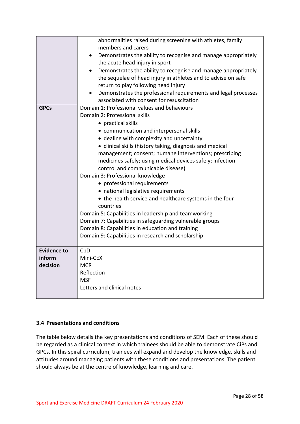|                    | abnormalities raised during screening with athletes, family    |  |  |  |
|--------------------|----------------------------------------------------------------|--|--|--|
|                    | members and carers                                             |  |  |  |
|                    | Demonstrates the ability to recognise and manage appropriately |  |  |  |
|                    | the acute head injury in sport                                 |  |  |  |
|                    | Demonstrates the ability to recognise and manage appropriately |  |  |  |
|                    | the sequelae of head injury in athletes and to advise on safe  |  |  |  |
|                    | return to play following head injury                           |  |  |  |
|                    | Demonstrates the professional requirements and legal processes |  |  |  |
|                    | associated with consent for resuscitation                      |  |  |  |
| <b>GPCs</b>        | Domain 1: Professional values and behaviours                   |  |  |  |
|                    | Domain 2: Professional skills                                  |  |  |  |
|                    | • practical skills                                             |  |  |  |
|                    | • communication and interpersonal skills                       |  |  |  |
|                    | • dealing with complexity and uncertainty                      |  |  |  |
|                    | • clinical skills (history taking, diagnosis and medical       |  |  |  |
|                    | management; consent; humane interventions; prescribing         |  |  |  |
|                    | medicines safely; using medical devices safely; infection      |  |  |  |
|                    | control and communicable disease)                              |  |  |  |
|                    | Domain 3: Professional knowledge                               |  |  |  |
|                    | • professional requirements                                    |  |  |  |
|                    | • national legislative requirements                            |  |  |  |
|                    | • the health service and healthcare systems in the four        |  |  |  |
|                    | countries                                                      |  |  |  |
|                    | Domain 5: Capabilities in leadership and teamworking           |  |  |  |
|                    | Domain 7: Capabilities in safeguarding vulnerable groups       |  |  |  |
|                    | Domain 8: Capabilities in education and training               |  |  |  |
|                    | Domain 9: Capabilities in research and scholarship             |  |  |  |
|                    |                                                                |  |  |  |
| <b>Evidence to</b> | CbD                                                            |  |  |  |
| inform             | Mini-CEX                                                       |  |  |  |
| decision           | <b>MCR</b>                                                     |  |  |  |
|                    | Reflection                                                     |  |  |  |
|                    | <b>MSF</b>                                                     |  |  |  |
|                    | Letters and clinical notes                                     |  |  |  |
|                    |                                                                |  |  |  |

# <span id="page-27-0"></span>**3.4 Presentations and conditions**

The table below details the key presentations and conditions of SEM. Each of these should be regarded as a clinical context in which trainees should be able to demonstrate CiPs and GPCs. In this spiral curriculum, trainees will expand and develop the knowledge, skills and attitudes around managing patients with these conditions and presentations. The patient should always be at the centre of knowledge, learning and care.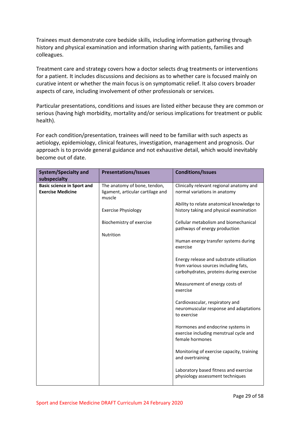Trainees must demonstrate core bedside skills, including information gathering through history and physical examination and information sharing with patients, families and colleagues.

Treatment care and strategy covers how a doctor selects drug treatments or interventions for a patient. It includes discussions and decisions as to whether care is focused mainly on curative intent or whether the main focus is on symptomatic relief. It also covers broader aspects of care, including involvement of other professionals or services.

Particular presentations, conditions and issues are listed either because they are common or serious (having high morbidity, mortality and/or serious implications for treatment or public health).

For each condition/presentation, trainees will need to be familiar with such aspects as aetiology, epidemiology, clinical features, investigation, management and prognosis. Our approach is to provide general guidance and not exhaustive detail, which would inevitably become out of date.

| <b>System/Specialty and</b><br>subspecialty                   | <b>Presentations/Issues</b>                                       | <b>Conditions/Issues</b>                                                                       |
|---------------------------------------------------------------|-------------------------------------------------------------------|------------------------------------------------------------------------------------------------|
| <b>Basic science in Sport and</b><br><b>Exercise Medicine</b> | The anatomy of bone, tendon,<br>ligament, articular cartilage and | Clinically relevant regional anatomy and<br>normal variations in anatomy                       |
|                                                               | muscle<br><b>Exercise Physiology</b>                              | Ability to relate anatomical knowledge to<br>history taking and physical examination           |
|                                                               | Biochemistry of exercise                                          | Cellular metabolism and biomechanical<br>pathways of energy production                         |
|                                                               | Nutrition                                                         | Human energy transfer systems during                                                           |
|                                                               |                                                                   | exercise<br>Energy release and substrate utilisation                                           |
|                                                               |                                                                   | from various sources including fats,<br>carbohydrates, proteins during exercise                |
|                                                               |                                                                   | Measurement of energy costs of<br>exercise                                                     |
|                                                               |                                                                   | Cardiovascular, respiratory and<br>neuromuscular response and adaptations<br>to exercise       |
|                                                               |                                                                   | Hormones and endocrine systems in<br>exercise including menstrual cycle and<br>female hormones |
|                                                               |                                                                   | Monitoring of exercise capacity, training<br>and overtraining                                  |
|                                                               |                                                                   | Laboratory based fitness and exercise<br>physiology assessment techniques                      |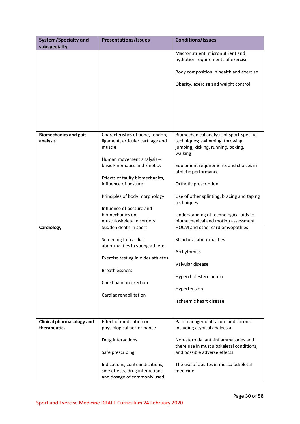| <b>System/Specialty and</b>              | <b>Presentations/Issues</b>                  | <b>Conditions/Issues</b>                                                          |
|------------------------------------------|----------------------------------------------|-----------------------------------------------------------------------------------|
| subspecialty                             |                                              |                                                                                   |
|                                          |                                              | Macronutrient, micronutrient and<br>hydration requirements of exercise            |
|                                          |                                              | Body composition in health and exercise                                           |
|                                          |                                              | Obesity, exercise and weight control                                              |
|                                          |                                              |                                                                                   |
|                                          |                                              |                                                                                   |
|                                          |                                              |                                                                                   |
|                                          |                                              |                                                                                   |
|                                          |                                              |                                                                                   |
| <b>Biomechanics and gait</b><br>analysis | Characteristics of bone, tendon,             | Biomechanical analysis of sport-specific                                          |
|                                          | ligament, articular cartilage and<br>muscle  | techniques; swimming, throwing,<br>jumping, kicking, running, boxing,             |
|                                          |                                              | walking                                                                           |
|                                          | Human movement analysis -                    |                                                                                   |
|                                          | basic kinematics and kinetics                | Equipment requirements and choices in                                             |
|                                          |                                              | athletic performance                                                              |
|                                          | Effects of faulty biomechanics,              |                                                                                   |
|                                          | influence of posture                         | Orthotic prescription                                                             |
|                                          | Principles of body morphology                | Use of other splinting, bracing and taping                                        |
|                                          |                                              | techniques                                                                        |
|                                          | Influence of posture and                     |                                                                                   |
|                                          | biomechanics on<br>musculoskeletal disorders | Understanding of technological aids to<br>biomechanical and motion assessment     |
| Cardiology                               | Sudden death in sport                        | HOCM and other cardiomyopathies                                                   |
|                                          |                                              |                                                                                   |
|                                          | Screening for cardiac                        | Structural abnormalities                                                          |
|                                          | abnormalities in young athletes              |                                                                                   |
|                                          |                                              | Arrhythmias                                                                       |
|                                          | Exercise testing in older athletes           | Valvular disease                                                                  |
|                                          | <b>Breathlessness</b>                        |                                                                                   |
|                                          |                                              | Hypercholesterolaemia                                                             |
|                                          | Chest pain on exertion                       |                                                                                   |
|                                          |                                              | Hypertension                                                                      |
|                                          | Cardiac rehabilitation                       | Ischaemic heart disease                                                           |
|                                          |                                              |                                                                                   |
|                                          |                                              |                                                                                   |
| <b>Clinical pharmacology and</b>         | Effect of medication on                      | Pain management; acute and chronic                                                |
| therapeutics                             | physiological performance                    | including atypical analgesia                                                      |
|                                          |                                              |                                                                                   |
|                                          | Drug interactions                            | Non-steroidal anti-inflammatories and<br>there use in musculoskeletal conditions, |
|                                          | Safe prescribing                             | and possible adverse effects                                                      |
|                                          |                                              |                                                                                   |
|                                          | Indications, contraindications,              | The use of opiates in musculoskeletal                                             |
|                                          | side effects, drug interactions              | medicine                                                                          |
|                                          | and dosage of commonly used                  |                                                                                   |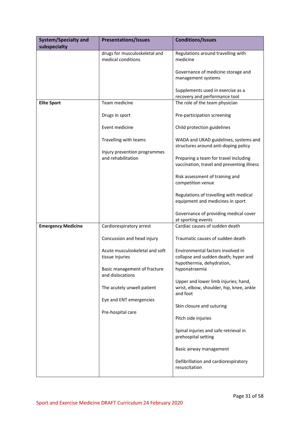| <b>System/Specialty and</b><br>subspecialty | <b>Presentations/Issues</b>                           | <b>Conditions/Issues</b>                                                                     |
|---------------------------------------------|-------------------------------------------------------|----------------------------------------------------------------------------------------------|
|                                             | drugs for musculoskeletal and<br>medical conditions   | Regulations around travelling with<br>medicine                                               |
|                                             |                                                       | Governance of medicine storage and<br>management systems                                     |
|                                             |                                                       | Supplements used in exercise as a<br>recovery and performance tool                           |
| <b>Elite Sport</b>                          | Team medicine                                         | The role of the team physician                                                               |
|                                             | Drugs in sport                                        | Pre-participation screening                                                                  |
|                                             | Event medicine                                        | Child protection guidelines                                                                  |
|                                             | Travelling with teams<br>Injury prevention programmes | WADA and UKAD guidelines, systems and<br>structures around anti-doping policy                |
|                                             | and rehabilitation                                    | Preparing a team for travel including<br>vaccination, travel and preventing illness          |
|                                             |                                                       | Risk assessment of training and<br>competition venue                                         |
|                                             |                                                       |                                                                                              |
|                                             |                                                       | Regulations of travelling with medical<br>equipment and medicines in sport                   |
|                                             |                                                       | Governance of providing medical cover<br>at sporting events                                  |
| <b>Emergency Medicine</b>                   | Cardiorespiratory arrest                              | Cardiac causes of sudden death                                                               |
|                                             | Concussion and head injury                            | Traumatic causes of sudden death                                                             |
|                                             | Acute musculoskeletal and soft<br>tissue injuries     | Environmental factors involved in<br>collapse and sudden death; hyper and                    |
|                                             | Basic management of fracture<br>and dislocations      | hypothermia, dehydration,<br>hyponatraemia                                                   |
|                                             | The acutely unwell patient                            | Upper and lower limb injuries; hand,<br>wrist, elbow, shoulder, hip, knee, ankle<br>and foot |
|                                             | Eye and ENT emergencies                               | Skin closure and suturing                                                                    |
|                                             | Pre-hospital care                                     | Pitch side injuries                                                                          |
|                                             |                                                       | Spinal injuries and safe retrieval in<br>prehospital setting                                 |
|                                             |                                                       | Basic airway management                                                                      |
|                                             |                                                       | Defibrillation and cardiorespiratory<br>resuscitation                                        |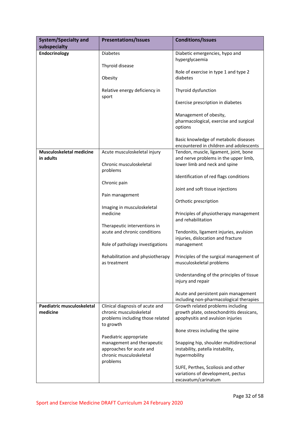| <b>System/Specialty and</b>           | <b>Presentations/Issues</b>                      | <b>Conditions/Issues</b>                                                       |
|---------------------------------------|--------------------------------------------------|--------------------------------------------------------------------------------|
| subspecialty                          |                                                  |                                                                                |
| Endocrinology                         | <b>Diabetes</b>                                  | Diabetic emergencies, hypo and                                                 |
|                                       |                                                  | hyperglycaemia                                                                 |
|                                       | Thyroid disease                                  |                                                                                |
|                                       | Obesity                                          | Role of exercise in type 1 and type 2<br>diabetes                              |
|                                       |                                                  |                                                                                |
|                                       | Relative energy deficiency in<br>sport           | Thyroid dysfunction                                                            |
|                                       |                                                  | Exercise prescription in diabetes                                              |
|                                       |                                                  | Management of obesity,                                                         |
|                                       |                                                  | pharmacological, exercise and surgical                                         |
|                                       |                                                  | options                                                                        |
|                                       |                                                  |                                                                                |
|                                       |                                                  | Basic knowledge of metabolic diseases                                          |
|                                       |                                                  | encountered in children and adolescents                                        |
| Musculoskeletal medicine<br>in adults | Acute musculoskeletal injury                     | Tendon, muscle, ligament, joint, bone<br>and nerve problems in the upper limb, |
|                                       | Chronic musculoskeletal                          | lower limb and neck and spine                                                  |
|                                       | problems                                         |                                                                                |
|                                       |                                                  | Identification of red flags conditions                                         |
|                                       | Chronic pain                                     |                                                                                |
|                                       |                                                  | Joint and soft tissue injections                                               |
|                                       | Pain management                                  |                                                                                |
|                                       |                                                  | Orthotic prescription                                                          |
|                                       | Imaging in musculoskeletal<br>medicine           | Principles of physiotherapy management<br>and rehabilitation                   |
|                                       | Therapeutic interventions in                     |                                                                                |
|                                       | acute and chronic conditions                     | Tendonitis, ligament injuries, avulsion                                        |
|                                       |                                                  | injuries, dislocation and fracture                                             |
|                                       | Role of pathology investigations                 | management                                                                     |
|                                       |                                                  |                                                                                |
|                                       | Rehabilitation and physiotherapy<br>as treatment | Principles of the surgical management of<br>musculoskeletal problems           |
|                                       |                                                  |                                                                                |
|                                       |                                                  | Understanding of the principles of tissue                                      |
|                                       |                                                  | injury and repair                                                              |
|                                       |                                                  | Acute and persistent pain management                                           |
|                                       |                                                  | including non-pharmacological therapies                                        |
| Paediatric musculoskeletal            | Clinical diagnosis of acute and                  | Growth related problems including                                              |
| medicine                              | chronic musculoskeletal                          | growth plate, osteochondritis dessicans,                                       |
|                                       | problems including those related                 | apophysitis and avulsion injuries                                              |
|                                       | to growth                                        | Bone stress including the spine                                                |
|                                       | Paediatric appropriate                           |                                                                                |
|                                       | management and therapeutic                       | Snapping hip, shoulder multidirectional                                        |
|                                       | approaches for acute and                         | instability, patella instability,                                              |
|                                       | chronic musculoskeletal                          | hypermobility                                                                  |
|                                       | problems                                         |                                                                                |
|                                       |                                                  | SUFE, Perthes, Scoliosis and other                                             |
|                                       |                                                  | variations of development, pectus                                              |
|                                       |                                                  | excavatum/carinatum                                                            |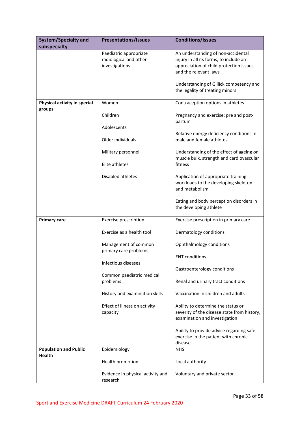| <b>System/Specialty and</b>                   | <b>Presentations/Issues</b>                                        | <b>Conditions/Issues</b>                                                                                                                                                                    |
|-----------------------------------------------|--------------------------------------------------------------------|---------------------------------------------------------------------------------------------------------------------------------------------------------------------------------------------|
| subspecialty                                  |                                                                    |                                                                                                                                                                                             |
|                                               | Paediatric appropriate<br>radiological and other<br>investigations | An understanding of non-accidental<br>injury in all its forms, to include an<br>appreciation of child protection issues<br>and the relevant laws<br>Understanding of Gillick competency and |
|                                               |                                                                    | the legality of treating minors                                                                                                                                                             |
| Physical activity in special<br>groups        | Women                                                              | Contraception options in athletes                                                                                                                                                           |
|                                               | Children                                                           | Pregnancy and exercise; pre and post-<br>partum                                                                                                                                             |
|                                               | Adolescents                                                        | Relative energy deficiency conditions in                                                                                                                                                    |
|                                               | Older individuals                                                  | male and female athletes                                                                                                                                                                    |
|                                               | Military personnel                                                 | Understanding of the effect of ageing on<br>muscle bulk, strength and cardiovascular                                                                                                        |
|                                               | Elite athletes                                                     | fitness                                                                                                                                                                                     |
|                                               | Disabled athletes                                                  | Application of appropriate training<br>workloads to the developing skeleton<br>and metabolism                                                                                               |
|                                               |                                                                    | Eating and body perception disorders in<br>the developing athlete                                                                                                                           |
| <b>Primary care</b>                           | Exercise prescription                                              | Exercise prescription in primary care                                                                                                                                                       |
|                                               | Exercise as a health tool                                          | Dermatology conditions                                                                                                                                                                      |
|                                               | Management of common<br>primary care problems                      | Ophthalmology conditions                                                                                                                                                                    |
|                                               | Infectious diseases                                                | <b>ENT</b> conditions                                                                                                                                                                       |
|                                               | Common paediatric medical                                          | Gastroenterology conditions                                                                                                                                                                 |
|                                               | problems                                                           | Renal and urinary tract conditions                                                                                                                                                          |
|                                               | History and examination skills                                     | Vaccination in children and adults                                                                                                                                                          |
|                                               | Effect of illness on activity<br>capacity                          | Ability to determine the status or<br>severity of the disease state from history,<br>examination and investigation                                                                          |
|                                               |                                                                    | Ability to provide advice regarding safe<br>exercise in the patient with chronic<br>disease                                                                                                 |
| <b>Population and Public</b><br><b>Health</b> | Epidemiology                                                       | <b>NHS</b>                                                                                                                                                                                  |
|                                               | Health promotion                                                   | Local authority                                                                                                                                                                             |
|                                               | Evidence in physical activity and<br>research                      | Voluntary and private sector                                                                                                                                                                |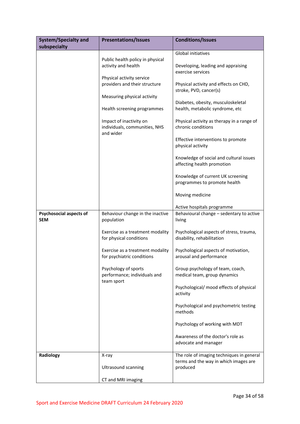| <b>System/Specialty and</b><br>subspecialty  | <b>Presentations/Issues</b>                                                               | <b>Conditions/Issues</b>                                                           |
|----------------------------------------------|-------------------------------------------------------------------------------------------|------------------------------------------------------------------------------------|
|                                              |                                                                                           | Global initiatives                                                                 |
|                                              | Public health policy in physical<br>activity and health                                   | Developing, leading and appraising<br>exercise services                            |
|                                              | Physical activity service<br>providers and their structure<br>Measuring physical activity | Physical activity and effects on CHD,<br>stroke, PVD, cancer(s)                    |
|                                              | Health screening programmes                                                               | Diabetes, obesity, musculoskeletal<br>health, metabolic syndrome, etc              |
|                                              | Impact of inactivity on<br>individuals, communities, NHS<br>and wider                     | Physical activity as therapy in a range of<br>chronic conditions                   |
|                                              |                                                                                           | Effective interventions to promote<br>physical activity                            |
|                                              |                                                                                           | Knowledge of social and cultural issues<br>affecting health promotion              |
|                                              |                                                                                           | Knowledge of current UK screening<br>programmes to promote health                  |
|                                              |                                                                                           | Moving medicine                                                                    |
| <b>Psychosocial aspects of</b><br><b>SEM</b> | Behaviour change in the inactive<br>population                                            | Active hospitals programme<br>Behavioural change - sedentary to active<br>living   |
|                                              | Exercise as a treatment modality<br>for physical conditions                               | Psychological aspects of stress, trauma,<br>disability, rehabilitation             |
|                                              | Exercise as a treatment modality<br>for psychiatric conditions                            | Psychological aspects of motivation,<br>arousal and performance                    |
|                                              | Psychology of sports<br>performance; individuals and<br>team sport                        | Group psychology of team, coach,<br>medical team, group dynamics                   |
|                                              |                                                                                           | Psychological/ mood effects of physical<br>activity                                |
|                                              |                                                                                           | Psychological and psychometric testing<br>methods                                  |
|                                              |                                                                                           | Psychology of working with MDT                                                     |
|                                              |                                                                                           | Awareness of the doctor's role as<br>advocate and manager                          |
| Radiology                                    | X-ray                                                                                     | The role of imaging techniques in general<br>terms and the way in which images are |
|                                              | <b>Ultrasound scanning</b>                                                                | produced                                                                           |
|                                              | CT and MRI imaging                                                                        |                                                                                    |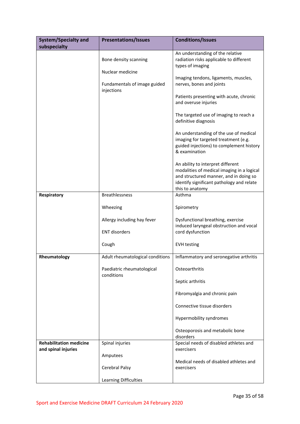| <b>System/Specialty and</b><br>subspecialty           | <b>Presentations/Issues</b>                                                             | <b>Conditions/Issues</b>                                                                                                                                                                                                                                                                                                                                           |
|-------------------------------------------------------|-----------------------------------------------------------------------------------------|--------------------------------------------------------------------------------------------------------------------------------------------------------------------------------------------------------------------------------------------------------------------------------------------------------------------------------------------------------------------|
|                                                       | Bone density scanning<br>Nuclear medicine<br>Fundamentals of image guided<br>injections | An understanding of the relative<br>radiation risks applicable to different<br>types of imaging<br>Imaging tendons, ligaments, muscles,<br>nerves, bones and joints<br>Patients presenting with acute, chronic                                                                                                                                                     |
|                                                       |                                                                                         | and overuse injuries<br>The targeted use of imaging to reach a<br>definitive diagnosis<br>An understanding of the use of medical<br>imaging for targeted treatment (e.g.<br>guided injections) to complement history<br>& examination<br>An ability to interpret different<br>modalities of medical imaging in a logical<br>and structured manner, and in doing so |
| Respiratory                                           | <b>Breathlessness</b>                                                                   | identify significant pathology and relate<br>this to anatomy<br>Asthma                                                                                                                                                                                                                                                                                             |
|                                                       | Wheezing                                                                                | Spirometry                                                                                                                                                                                                                                                                                                                                                         |
|                                                       | Allergy including hay fever<br><b>ENT disorders</b>                                     | Dysfunctional breathing, exercise<br>induced laryngeal obstruction and vocal<br>cord dysfunction                                                                                                                                                                                                                                                                   |
|                                                       | Cough                                                                                   | <b>EVH testing</b>                                                                                                                                                                                                                                                                                                                                                 |
| Rheumatology                                          | Adult rheumatological conditions<br>Paediatric rheumatological<br>conditions            | Inflammatory and seronegative arthritis<br>Osteoarthritis<br>Septic arthritis                                                                                                                                                                                                                                                                                      |
|                                                       |                                                                                         | Fibromyalgia and chronic pain<br>Connective tissue disorders                                                                                                                                                                                                                                                                                                       |
|                                                       |                                                                                         | Hypermobility syndromes                                                                                                                                                                                                                                                                                                                                            |
|                                                       |                                                                                         | Osteoporosis and metabolic bone<br>disorders                                                                                                                                                                                                                                                                                                                       |
| <b>Rehabilitation medicine</b><br>and spinal injuries | Spinal injuries<br>Amputees                                                             | Special needs of disabled athletes and<br>exercisers                                                                                                                                                                                                                                                                                                               |
|                                                       | Cerebral Palsy                                                                          | Medical needs of disabled athletes and<br>exercisers                                                                                                                                                                                                                                                                                                               |
|                                                       | Learning Difficulties                                                                   |                                                                                                                                                                                                                                                                                                                                                                    |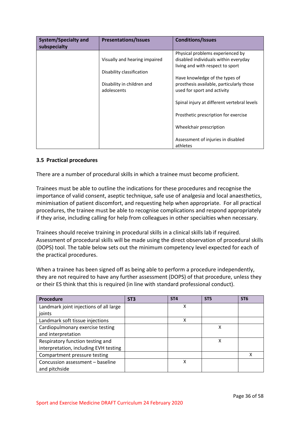| <b>System/Specialty and</b><br>subspecialty | <b>Presentations/Issues</b>                                            | <b>Conditions/Issues</b>                                                                                     |
|---------------------------------------------|------------------------------------------------------------------------|--------------------------------------------------------------------------------------------------------------|
|                                             | Visually and hearing impaired                                          | Physical problems experienced by<br>disabled individuals within everyday<br>living and with respect to sport |
|                                             | Disability classification<br>Disability in children and<br>adolescents | Have knowledge of the types of<br>prosthesis available, particularly those<br>used for sport and activity    |
|                                             |                                                                        | Spinal injury at different vertebral levels                                                                  |
|                                             |                                                                        | Prosthetic prescription for exercise                                                                         |
|                                             |                                                                        | Wheelchair prescription                                                                                      |
|                                             |                                                                        | Assessment of injuries in disabled<br>athletes                                                               |

# <span id="page-35-0"></span>**3.5 Practical procedures**

There are a number of procedural skills in which a trainee must become proficient.

Trainees must be able to outline the indications for these procedures and recognise the importance of valid consent, aseptic technique, safe use of analgesia and local anaesthetics, minimisation of patient discomfort, and requesting help when appropriate. For all practical procedures, the trainee must be able to recognise complications and respond appropriately if they arise, including calling for help from colleagues in other specialties when necessary.

Trainees should receive training in procedural skills in a clinical skills lab if required. Assessment of procedural skills will be made using the direct observation of procedural skills (DOPS) tool. The table below sets out the minimum competency level expected for each of the practical procedures.

When a trainee has been signed off as being able to perform a procedure independently, they are not required to have any further assessment (DOPS) of that procedure, unless they or their ES think that this is required (in line with standard professional conduct).

| Procedure                              | ST <sub>3</sub> | ST <sub>4</sub> | ST <sub>5</sub> | ST <sub>6</sub> |
|----------------------------------------|-----------------|-----------------|-----------------|-----------------|
| Landmark joint injections of all large |                 | Χ               |                 |                 |
| joints                                 |                 |                 |                 |                 |
| Landmark soft tissue injections        |                 | x               |                 |                 |
| Cardiopulmonary exercise testing       |                 |                 | х               |                 |
| and interpretation                     |                 |                 |                 |                 |
| Respiratory function testing and       |                 |                 | χ               |                 |
| interpretation, including EVH testing  |                 |                 |                 |                 |
| Compartment pressure testing           |                 |                 |                 | х               |
| Concussion assessment - baseline       |                 | χ               |                 |                 |
| and pitchside                          |                 |                 |                 |                 |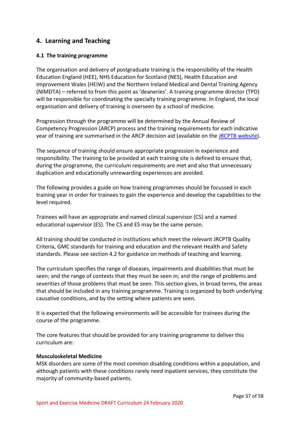# <span id="page-36-0"></span>**4. Learning and Teaching**

# <span id="page-36-1"></span>**4.1 The training programme**

The organisation and delivery of postgraduate training is the responsibility of the Health Education England (HEE), NHS Education for Scotland (NES), Health Education and Improvement Wales (HEIW) and the Northern Ireland Medical and Dental Training Agency (NIMDTA) – referred to from this point as 'deaneries'. A training programme director (TPD) will be responsible for coordinating the specialty training programme. In England, the local organisation and delivery of training is overseen by a school of medicine.

Progression through the programme will be determined by the Annual Review of Competency Progression (ARCP) process and the training requirements for each indicative year of training are summarised in the ARCP decision aid (available on the [JRCPTB website\)](http://www.jrcptb.org.uk/).

The sequence of training should ensure appropriate progression in experience and responsibility. The training to be provided at each training site is defined to ensure that, during the programme, the curriculum requirements are met and also that unnecessary duplication and educationally unrewarding experiences are avoided.

The following provides a guide on how training programmes should be focussed in each training year in order for trainees to gain the experience and develop the capabilities to the level required.

Trainees will have an appropriate and named clinical supervisor (CS) and a named educational supervisor (ES). The CS and ES may be the same person.

All training should be conducted in institutions which meet the relevant JRCPTB Quality Criteria, GMC standards for training and education and the relevant Health and Safety standards. Please see section 4.2 for guidance on methods of teaching and learning.

The curriculum specifies the range of diseases, impairments and disabilities that must be seen; and the range of contexts that they must be seen in; and the range of problems and severities of those problems that must be seen. This section gives, in broad terms, the areas that should be included in any training programme. Training is organized by both underlying causative conditions, and by the setting where patients are seen.

It is expected that the following environments will be accessible for trainees during the course of the programme.

The core features that should be provided for any training programme to deliver this curriculum are:

# **Musculoskeletal Medicine**

MSK disorders are some of the most common disabling conditions within a population, and although patients with these conditions rarely need inpatient services, they constitute the majority of community-based patients.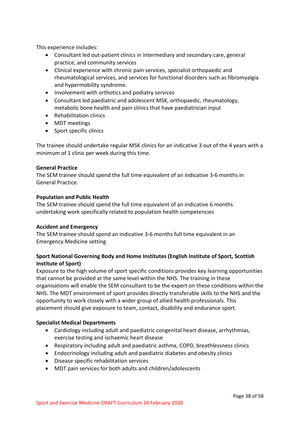This experience includes:

- Consultant led out-patient clinics in intermediary and secondary care, general practice, and community services
- Clinical experience with chronic pain services, specialist orthopaedic and rheumatological services, and services for functional disorders such as fibromyalgia and hypermobility syndrome.
- Involvement with orthotics and podiatry services
- Consultant led paediatric and adolescent MSK, orthopaedic, rheumatology, metabolic bone health and pain clinics that have paediatrician input
- Rehabilitation clinics
- MDT meetings
- Sport specific clinics

The trainee should undertake regular MSK clinics for an indicative 3 out of the 4 years with a minimum of 1 clinic per week during this time.

# **General Practice**

The SEM trainee should spend the full time equivalent of an indicative 3-6 months in General Practice.

### **Population and Public Health**

The SEM trainee should spend the full time equivalent of an indicative 6 months undertaking work specifically related to population health competencies

# **Accident and Emergency**

The SEM trainee should spend an indicative 3-6 months full time equivalent in an Emergency Medicine setting

# **Sport National Governing Body and Home Institutes (English Institute of Sport, Scottish Institute of Sport)**

Exposure to the high volume of sport specific conditions provides key learning opportunities that cannot be provided at the same level within the NHS. The training in these organisations will enable the SEM consultant to be the expert on these conditions within the NHS. The MDT environment of sport provides directly transferable skills to the NHS and the opportunity to work closely with a wider group of allied health professionals. This placement should give exposure to team, contact, disability and endurance sport.

# **Specialist Medical Departments**

- Cardiology including adult and paediatric congenital heart disease, arrhythmias, exercise testing and ischaemic heart disease
- Respiratory including adult and paediatric asthma, COPD, breathlessness clinics
- Endocrinology including adult and paediatric diabetes and obesity clinics
- Disease specific rehabilitation services
- MDT pain services for both adults and children/adolescents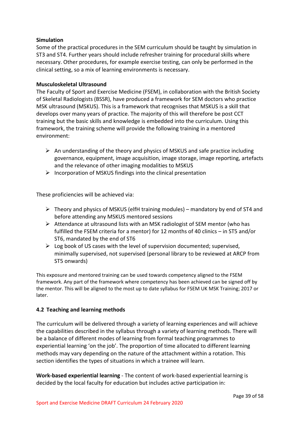# **Simulation**

Some of the practical procedures in the SEM curriculum should be taught by simulation in ST3 and ST4. Further years should include refresher training for procedural skills where necessary. Other procedures, for example exercise testing, can only be performed in the clinical setting, so a mix of learning environments is necessary.

# **Musculoskeletal Ultrasound**

The Faculty of Sport and Exercise Medicine (FSEM), in collaboration with the British Society of Skeletal Radiologists (BSSR), have produced a framework for SEM doctors who practice MSK ultrasound (MSKUS). This is a framework that recognises that MSKUS is a skill that develops over many years of practice. The majority of this will therefore be post CCT training but the basic skills and knowledge is embedded into the curriculum. Using this framework, the training scheme will provide the following training in a mentored environment:

- $\triangleright$  An understanding of the theory and physics of MSKUS and safe practice including governance, equipment, image acquisition, image storage, image reporting, artefacts and the relevance of other imaging modalities to MSKUS
- $\triangleright$  Incorporation of MSKUS findings into the clinical presentation

These proficiencies will be achieved via:

- $\triangleright$  Theory and physics of MSKUS (elfH training modules) mandatory by end of ST4 and before attending any MSKUS mentored sessions
- $\triangleright$  Attendance at ultrasound lists with an MSK radiologist of SEM mentor (who has fulfilled the FSEM criteria for a mentor) for 12 months of 40 clinics – in ST5 and/or ST6, mandated by the end of ST6
- $\triangleright$  Log book of US cases with the level of supervision documented; supervised, minimally supervised, not supervised (personal library to be reviewed at ARCP from ST5 onwards)

This exposure and mentored training can be used towards competency aligned to the FSEM framework. Any part of the framework where competency has been achieved can be signed off by the mentor. This will be aligned to the most up to date syllabus for FSEM UK MSK Training; 2017 or later.

# <span id="page-38-0"></span>**4.2 Teaching and learning methods**

The curriculum will be delivered through a variety of learning experiences and will achieve the capabilities described in the syllabus through a variety of learning methods. There will be a balance of different modes of learning from formal teaching programmes to experiential learning 'on the job'. The proportion of time allocated to different learning methods may vary depending on the nature of the attachment within a rotation. This section identifies the types of situations in which a trainee will learn.

**Work-based experiential learning** - The content of work-based experiential learning is decided by the local faculty for education but includes active participation in: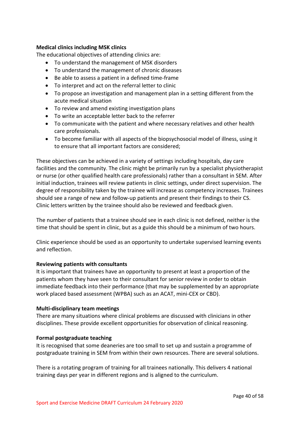# **Medical clinics including MSK clinics**

The educational objectives of attending clinics are:

- To understand the management of MSK disorders
- To understand the management of chronic diseases
- Be able to assess a patient in a defined time-frame
- To interpret and act on the referral letter to clinic
- To propose an investigation and management plan in a setting different from the acute medical situation
- To review and amend existing investigation plans
- To write an acceptable letter back to the referrer
- To communicate with the patient and where necessary relatives and other health care professionals.
- To become familiar with all aspects of the biopsychosocial model of illness, using it to ensure that all important factors are considered;

These objectives can be achieved in a variety of settings including hospitals, day care facilities and the community. The clinic might be primarily run by a specialist physiotherapist or nurse (or other qualified health care professionals) rather than a consultant in SEM. After initial induction, trainees will review patients in clinic settings, under direct supervision. The degree of responsibility taken by the trainee will increase as competency increases. Trainees should see a range of new and follow-up patients and present their findings to their CS. Clinic letters written by the trainee should also be reviewed and feedback given.

The number of patients that a trainee should see in each clinic is not defined, neither is the time that should be spent in clinic, but as a guide this should be a minimum of two hours.

Clinic experience should be used as an opportunity to undertake supervised learning events and reflection.

# **Reviewing patients with consultants**

It is important that trainees have an opportunity to present at least a proportion of the patients whom they have seen to their consultant for senior review in order to obtain immediate feedback into their performance (that may be supplemented by an appropriate work placed based assessment (WPBA) such as an ACAT, mini-CEX or CBD).

# **Multi-disciplinary team meetings**

There are many situations where clinical problems are discussed with clinicians in other disciplines. These provide excellent opportunities for observation of clinical reasoning.

# **Formal postgraduate teaching**

It is recognised that some deaneries are too small to set up and sustain a programme of postgraduate training in SEM from within their own resources. There are several solutions.

There is a rotating program of training for all trainees nationally. This delivers 4 national training days per year in different regions and is aligned to the curriculum.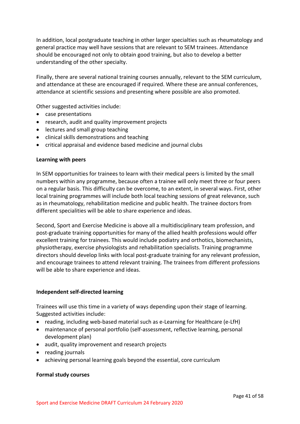In addition, local postgraduate teaching in other larger specialties such as rheumatology and general practice may well have sessions that are relevant to SEM trainees. Attendance should be encouraged not only to obtain good training, but also to develop a better understanding of the other specialty.

Finally, there are several national training courses annually, relevant to the SEM curriculum, and attendance at these are encouraged if required. Where these are annual conferences, attendance at scientific sessions and presenting where possible are also promoted.

Other suggested activities include:

- case presentations
- research, audit and quality improvement projects
- lectures and small group teaching
- clinical skills demonstrations and teaching
- critical appraisal and evidence based medicine and journal clubs

### **Learning with peers**

In SEM opportunities for trainees to learn with their medical peers is limited by the small numbers within any programme, because often a trainee will only meet three or four peers on a regular basis. This difficulty can be overcome, to an extent, in several ways. First, other local training programmes will include both local teaching sessions of great relevance, such as in rheumatology, rehabilitation medicine and public health. The trainee doctors from different specialities will be able to share experience and ideas.

Second, Sport and Exercise Medicine is above all a multidisciplinary team profession, and post-graduate training opportunities for many of the allied health professions would offer excellent training for trainees. This would include podiatry and orthotics, biomechanists, physiotherapy, exercise physiologists and rehabilitation specialists. Training programme directors should develop links with local post-graduate training for any relevant profession, and encourage trainees to attend relevant training. The trainees from different professions will be able to share experience and ideas.

### **Independent self-directed learning**

Trainees will use this time in a variety of ways depending upon their stage of learning. Suggested activities include:

- reading, including web-based material such as e-Learning for Healthcare (e-LfH)
- maintenance of personal portfolio (self-assessment, reflective learning, personal development plan)
- audit, quality improvement and research projects
- reading journals
- achieving personal learning goals beyond the essential, core curriculum

### **Formal study courses**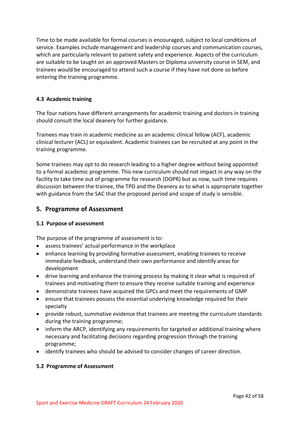Time to be made available for formal courses is encouraged, subject to local conditions of service. Examples include management and leadership courses and communication courses, which are particularly relevant to patient safety and experience. Aspects of the curriculum are suitable to be taught on an approved Masters or Diploma university course in SEM, and trainees would be encouraged to attend such a course if they have not done so before entering the training programme.

# <span id="page-41-0"></span>**4.3 Academic training**

The four nations have different arrangements for academic training and doctors in training should consult the local deanery for further guidance.

Trainees may train in academic medicine as an academic clinical fellow (ACF), academic clinical lecturer (ACL) or equivalent. Academic trainees can be recruited at any point in the training programme.

Some trainees may opt to do research leading to a higher degree without being appointed to a formal academic programme. This new curriculum should not impact in any way on the facility to take time out of programme for research (OOPR) but as now, such time requires discussion between the trainee, the TPD and the Deanery as to what is appropriate together with guidance from the SAC that the proposed period and scope of study is sensible.

# <span id="page-41-1"></span>**5. Programme of Assessment**

# <span id="page-41-2"></span>**5.1 Purpose of assessment**

The purpose of the programme of assessment is to:

- assess trainees' actual performance in the workplace
- enhance learning by providing formative assessment, enabling trainees to receive immediate feedback, understand their own performance and identify areas for development
- drive learning and enhance the training process by making it clear what is required of trainees and motivating them to ensure they receive suitable training and experience
- demonstrate trainees have acquired the GPCs and meet the requirements of GMP
- ensure that trainees possess the essential underlying knowledge required for their specialty
- provide robust, summative evidence that trainees are meeting the curriculum standards during the training programme;
- inform the ARCP, identifying any requirements for targeted or additional training where necessary and facilitating decisions regarding progression through the training programme;
- identify trainees who should be advised to consider changes of career direction.

# <span id="page-41-3"></span>**5.2 Programme of Assessment**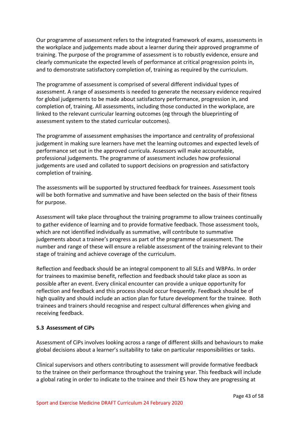Our programme of assessment refers to the integrated framework of exams, assessments in the workplace and judgements made about a learner during their approved programme of training. The purpose of the programme of assessment is to robustly evidence, ensure and clearly communicate the expected levels of performance at critical progression points in, and to demonstrate satisfactory completion of, training as required by the curriculum.

The programme of assessment is comprised of several different individual types of assessment. A range of assessments is needed to generate the necessary evidence required for global judgements to be made about satisfactory performance, progression in, and completion of, training. All assessments, including those conducted in the workplace, are linked to the relevant curricular learning outcomes (eg through the blueprinting of assessment system to the stated curricular outcomes).

The programme of assessment emphasises the importance and centrality of professional judgement in making sure learners have met the learning outcomes and expected levels of performance set out in the approved curricula. Assessors will make accountable, professional judgements. The programme of assessment includes how professional judgements are used and collated to support decisions on progression and satisfactory completion of training.

The assessments will be supported by structured feedback for trainees. Assessment tools will be both formative and summative and have been selected on the basis of their fitness for purpose.

Assessment will take place throughout the training programme to allow trainees continually to gather evidence of learning and to provide formative feedback. Those assessment tools, which are not identified individually as summative, will contribute to summative judgements about a trainee's progress as part of the programme of assessment. The number and range of these will ensure a reliable assessment of the training relevant to their stage of training and achieve coverage of the curriculum.

Reflection and feedback should be an integral component to all SLEs and WBPAs. In order for trainees to maximise benefit, reflection and feedback should take place as soon as possible after an event. Every clinical encounter can provide a unique opportunity for reflection and feedback and this process should occur frequently. Feedback should be of high quality and should include an action plan for future development for the trainee. Both trainees and trainers should recognise and respect cultural differences when giving and receiving feedback.

# <span id="page-42-0"></span>**5.3 Assessment of CiPs**

Assessment of CiPs involves looking across a range of different skills and behaviours to make global decisions about a learner's suitability to take on particular responsibilities or tasks.

Clinical supervisors and others contributing to assessment will provide formative feedback to the trainee on their performance throughout the training year. This feedback will include a global rating in order to indicate to the trainee and their ES how they are progressing at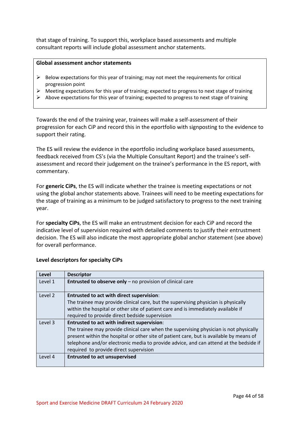that stage of training. To support this, workplace based assessments and multiple consultant reports will include global assessment anchor statements.

### **Global assessment anchor statements**

- $\triangleright$  Below expectations for this year of training; may not meet the requirements for critical progression point
- $\triangleright$  Meeting expectations for this year of training; expected to progress to next stage of training
- $\triangleright$  Above expectations for this year of training; expected to progress to next stage of training

Towards the end of the training year, trainees will make a self-assessment of their progression for each CiP and record this in the eportfolio with signposting to the evidence to support their rating.

The ES will review the evidence in the eportfolio including workplace based assessments, feedback received from CS's (via the Multiple Consultant Report) and the trainee's selfassessment and record their judgement on the trainee's performance in the ES report, with commentary.

For **generic CiPs**, the ES will indicate whether the trainee is meeting expectations or not using the global anchor statements above. Trainees will need to be meeting expectations for the stage of training as a minimum to be judged satisfactory to progress to the next training year.

For **specialty CiPs**, the ES will make an entrustment decision for each CiP and record the indicative level of supervision required with detailed comments to justify their entrustment decision. The ES will also indicate the most appropriate global anchor statement (see above) for overall performance.

| Level   | <b>Descriptor</b>                                                                       |
|---------|-----------------------------------------------------------------------------------------|
| Level 1 | Entrusted to observe only - no provision of clinical care                               |
|         |                                                                                         |
| Level 2 | <b>Entrusted to act with direct supervision:</b>                                        |
|         | The trainee may provide clinical care, but the supervising physician is physically      |
|         | within the hospital or other site of patient care and is immediately available if       |
|         | required to provide direct bedside supervision                                          |
| Level 3 | Entrusted to act with indirect supervision:                                             |
|         | The trainee may provide clinical care when the supervising physician is not physically  |
|         | present within the hospital or other site of patient care, but is available by means of |
|         | telephone and/or electronic media to provide advice, and can attend at the bedside if   |
|         | required to provide direct supervision                                                  |
| Level 4 | <b>Entrusted to act unsupervised</b>                                                    |
|         |                                                                                         |

# **Level descriptors for specialty CiPs**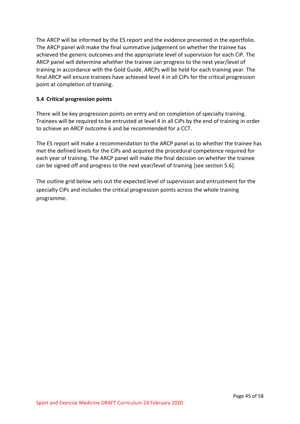The ARCP will be informed by the ES report and the evidence presented in the eportfolio. The ARCP panel will make the final summative judgement on whether the trainee has achieved the generic outcomes and the appropriate level of supervision for each CiP. The ARCP panel will determine whether the trainee can progress to the next year/level of training in accordance with the Gold Guide. ARCPs will be held for each training year. The final ARCP will ensure trainees have achieved level 4 in all CiPs for the critical progression point at completion of training.

# <span id="page-44-0"></span>**5.4 Critical progression points**

There will be key progression points on entry and on completion of specialty training. Trainees will be required to be entrusted at level 4 in all CiPs by the end of training in order to achieve an ARCP outcome 6 and be recommended for a CCT.

The ES report will make a recommendation to the ARCP panel as to whether the trainee has met the defined levels for the CiPs and acquired the procedural competence required for each year of training. The ARCP panel will make the final decision on whether the trainee can be signed off and progress to the next year/level of training [see section 5.6].

The outline grid below sets out the expected level of supervision and entrustment for the specialty CiPs and includes the critical progression points across the whole training programme.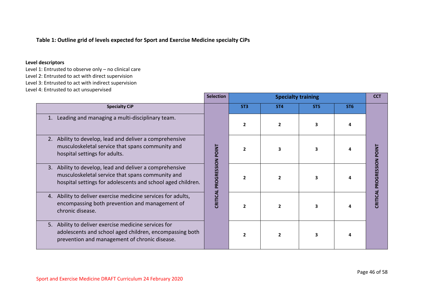# **Table 1: Outline grid of levels expected for Sport and Exercise Medicine specialty CiPs**

### **Level descriptors**

- Level 1: Entrusted to observe only no clinical care
- Level 2: Entrusted to act with direct supervision
- Level 3: Entrusted to act with indirect supervision
- Level 4: Entrusted to act unsupervised

|                                                                                                                                                                            | <b>Selection</b>           |                          | <b>CCT</b>      |                 |                 |                          |
|----------------------------------------------------------------------------------------------------------------------------------------------------------------------------|----------------------------|--------------------------|-----------------|-----------------|-----------------|--------------------------|
| <b>Specialty CiP</b>                                                                                                                                                       |                            | ST <sub>3</sub>          | ST <sub>4</sub> | ST <sub>5</sub> | ST <sub>6</sub> |                          |
| Leading and managing a multi-disciplinary team.<br>1.                                                                                                                      |                            | $\overline{2}$           |                 |                 |                 |                          |
| 2. Ability to develop, lead and deliver a comprehensive<br>musculoskeletal service that spans community and<br>hospital settings for adults.                               |                            | $\overline{\phantom{a}}$ | 3               |                 |                 |                          |
| 3. Ability to develop, lead and deliver a comprehensive<br>musculoskeletal service that spans community and<br>hospital settings for adolescents and school aged children. | CRITICAL PROGRESSION POINT | $\overline{\phantom{a}}$ |                 |                 |                 | <b>PROGRESSION POINT</b> |
| 4. Ability to deliver exercise medicine services for adults,<br>encompassing both prevention and management of<br>chronic disease.                                         |                            | $\overline{2}$           |                 |                 |                 | CRITICAL                 |
| 5. Ability to deliver exercise medicine services for<br>adolescents and school aged children, encompassing both<br>prevention and management of chronic disease.           |                            | $\overline{2}$           |                 |                 |                 |                          |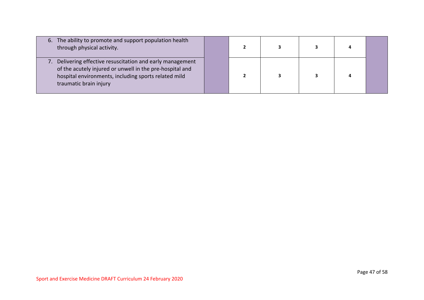| 6. The ability to promote and support population health<br>through physical activity.                                                                                                                 |  |  | 4 |  |
|-------------------------------------------------------------------------------------------------------------------------------------------------------------------------------------------------------|--|--|---|--|
| Delivering effective resuscitation and early management<br>of the acutely injured or unwell in the pre-hospital and<br>hospital environments, including sports related mild<br>traumatic brain injury |  |  |   |  |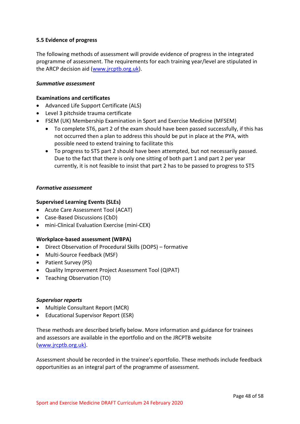# <span id="page-47-0"></span>**5.5 Evidence of progress**

The following methods of assessment will provide evidence of progress in the integrated programme of assessment. The requirements for each training year/level are stipulated in the ARCP decision aid [\(www.jrcptb.org.uk\)](http://www.jrcptb.org.uk/).

### *Summative assessment*

## **Examinations and certificates**

- Advanced Life Support Certificate (ALS)
- Level 3 pitchside trauma certificate
- FSEM (UK) Membership Examination in Sport and Exercise Medicine (MFSEM)
	- To complete ST6, part 2 of the exam should have been passed successfully, if this has not occurred then a plan to address this should be put in place at the PYA, with possible need to extend training to facilitate this
	- To progress to ST5 part 2 should have been attempted, but not necessarily passed. Due to the fact that there is only one sitting of both part 1 and part 2 per year currently, it is not feasible to insist that part 2 has to be passed to progress to ST5

### *Formative assessment*

# **Supervised Learning Events (SLEs)**

- Acute Care Assessment Tool (ACAT)
- Case-Based Discussions (CbD)
- mini-Clinical Evaluation Exercise (mini-CEX)

# **Workplace-based assessment (WBPA)**

- Direct Observation of Procedural Skills (DOPS) formative
- Multi-Source Feedback (MSF)
- Patient Survey (PS)
- Quality Improvement Project Assessment Tool (QIPAT)
- Teaching Observation (TO)

### *Supervisor reports*

- Multiple Consultant Report (MCR)
- Educational Supervisor Report (ESR)

These methods are described briefly below. More information and guidance for trainees and assessors are available in the eportfolio and on the JRCPTB website [\(www.jrcptb.org.uk\)](http://www.jrcptb.org.uk/).

Assessment should be recorded in the trainee's eportfolio. These methods include feedback opportunities as an integral part of the programme of assessment.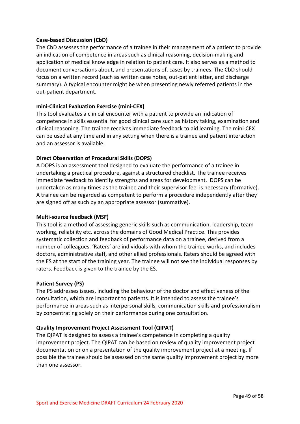# **Case-based Discussion (CbD)**

The CbD assesses the performance of a trainee in their management of a patient to provide an indication of competence in areas such as clinical reasoning, decision-making and application of medical knowledge in relation to patient care. It also serves as a method to document conversations about, and presentations of, cases by trainees. The CbD should focus on a written record (such as written case notes, out-patient letter, and discharge summary). A typical encounter might be when presenting newly referred patients in the out-patient department.

# **mini-Clinical Evaluation Exercise (mini-CEX)**

This tool evaluates a clinical encounter with a patient to provide an indication of competence in skills essential for good clinical care such as history taking, examination and clinical reasoning. The trainee receives immediate feedback to aid learning. The mini-CEX can be used at any time and in any setting when there is a trainee and patient interaction and an assessor is available.

# **Direct Observation of Procedural Skills (DOPS)**

A DOPS is an assessment tool designed to evaluate the performance of a trainee in undertaking a practical procedure, against a structured checklist. The trainee receives immediate feedback to identify strengths and areas for development. DOPS can be undertaken as many times as the trainee and their supervisor feel is necessary (formative). A trainee can be regarded as competent to perform a procedure independently after they are signed off as such by an appropriate assessor (summative).

# **Multi-source feedback (MSF)**

This tool is a method of assessing generic skills such as communication, leadership, team working, reliability etc, across the domains of Good Medical Practice. This provides systematic collection and feedback of performance data on a trainee, derived from a number of colleagues. 'Raters' are individuals with whom the trainee works, and includes doctors, administrative staff, and other allied professionals. Raters should be agreed with the ES at the start of the training year. The trainee will not see the individual responses by raters. Feedback is given to the trainee by the ES.

# **Patient Survey (PS)**

The PS addresses issues, including the behaviour of the doctor and effectiveness of the consultation, which are important to patients. It is intended to assess the trainee's performance in areas such as interpersonal skills, communication skills and professionalism by concentrating solely on their performance during one consultation.

# **Quality Improvement Project Assessment Tool (QIPAT)**

The QIPAT is designed to assess a trainee's competence in completing a quality improvement project. The QIPAT can be based on review of quality improvement project documentation or on a presentation of the quality improvement project at a meeting. If possible the trainee should be assessed on the same quality improvement project by more than one assessor.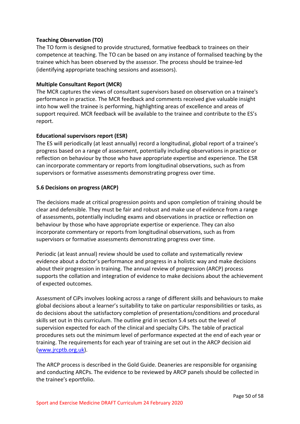# **Teaching Observation (TO)**

The TO form is designed to provide structured, formative feedback to trainees on their competence at teaching. The TO can be based on any instance of formalised teaching by the trainee which has been observed by the assessor. The process should be trainee-led (identifying appropriate teaching sessions and assessors).

# **Multiple Consultant Report (MCR)**

The MCR captures the views of consultant supervisors based on observation on a trainee's performance in practice. The MCR feedback and comments received give valuable insight into how well the trainee is performing, highlighting areas of excellence and areas of support required. MCR feedback will be available to the trainee and contribute to the ES's report.

# **Educational supervisors report (ESR)**

The ES will periodically (at least annually) record a longitudinal, global report of a trainee's progress based on a range of assessment, potentially including observations in practice or reflection on behaviour by those who have appropriate expertise and experience. The ESR can incorporate commentary or reports from longitudinal observations, such as from supervisors or formative assessments demonstrating progress over time.

# <span id="page-49-0"></span>**5.6 Decisions on progress (ARCP)**

The decisions made at critical progression points and upon completion of training should be clear and defensible. They must be fair and robust and make use of evidence from a range of assessments, potentially including exams and observations in practice or reflection on behaviour by those who have appropriate expertise or experience. They can also incorporate commentary or reports from longitudinal observations, such as from supervisors or formative assessments demonstrating progress over time.

Periodic (at least annual) review should be used to collate and systematically review evidence about a doctor's performance and progress in a holistic way and make decisions about their progression in training. The annual review of progression (ARCP) process supports the collation and integration of evidence to make decisions about the achievement of expected outcomes.

Assessment of CiPs involves looking across a range of different skills and behaviours to make global decisions about a learner's suitability to take on particular responsibilities or tasks, as do decisions about the satisfactory completion of presentations/conditions and procedural skills set out in this curriculum. The outline grid in section 5.4 sets out the level of supervision expected for each of the clinical and specialty CiPs. The table of practical procedures sets out the minimum level of performance expected at the end of each year or training. The requirements for each year of training are set out in the ARCP decision aid [\(www.jrcptb.org.uk\)](http://www.jrcptb.org.uk/).

The ARCP process is described in the Gold Guide. Deaneries are responsible for organising and conducting ARCPs. The evidence to be reviewed by ARCP panels should be collected in the trainee's eportfolio.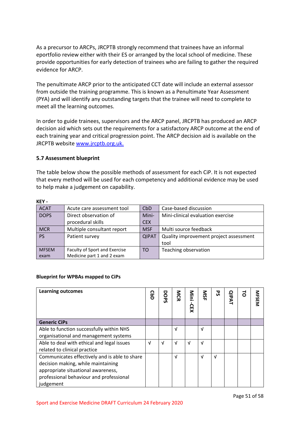As a precursor to ARCPs, JRCPTB strongly recommend that trainees have an informal eportfolio review either with their ES or arranged by the local school of medicine. These provide opportunities for early detection of trainees who are failing to gather the required evidence for ARCP.

The penultimate ARCP prior to the anticipated CCT date will include an external assessor from outside the training programme. This is known as a Penultimate Year Assessment (PYA) and will identify any outstanding targets that the trainee will need to complete to meet all the learning outcomes.

In order to guide trainees, supervisors and the ARCP panel, JRCPTB has produced an ARCP decision aid which sets out the requirements for a satisfactory ARCP outcome at the end of each training year and critical progression point. The ARCP decision aid is available on the JRCPTB website [www.jrcptb.org.uk.](http://www.jrcptb.org.uk/)

# <span id="page-50-0"></span>**5.7 Assessment blueprint**

The table below show the possible methods of assessment for each CiP. It is not expected that every method will be used for each competency and additional evidence may be used to help make a judgement on capability.

| .            |                               |              |                                        |
|--------------|-------------------------------|--------------|----------------------------------------|
| <b>ACAT</b>  | Acute care assessment tool    | CbD          | Case-based discussion                  |
| <b>DOPS</b>  | Direct observation of         | Mini-        | Mini-clinical evaluation exercise      |
|              | procedural skills             | <b>CEX</b>   |                                        |
| <b>MCR</b>   | Multiple consultant report    | <b>MSF</b>   | Multi source feedback                  |
| <b>PS</b>    | Patient survey                | <b>QIPAT</b> | Quality improvement project assessment |
|              |                               |              | tool                                   |
| <b>MFSEM</b> | Faculty of Sport and Exercise | TO.          | Teaching observation                   |
| exam         | Medicine part 1 and 2 exam    |              |                                        |

# **KEY -**

### **Blueprint for WPBAs mapped to CiPs**

| <b>Learning outcomes</b>                      | ဠ | DOPS       | <b>NGR</b> | $\frac{2}{5}$<br>റ<br>贝 | <b>NSF</b> | ჯ | <b>QIPAT</b> | $\vec{a}$ | <b>MFSEN</b> |
|-----------------------------------------------|---|------------|------------|-------------------------|------------|---|--------------|-----------|--------------|
| <b>Generic CiPs</b>                           |   |            |            |                         |            |   |              |           |              |
| Able to function successfully within NHS      |   |            | V          |                         | V          |   |              |           |              |
| organisational and management systems         |   |            |            |                         |            |   |              |           |              |
| Able to deal with ethical and legal issues    | V | $\sqrt{ }$ | $\sqrt{ }$ | $\sqrt{ }$              | V          |   |              |           |              |
| related to clinical practice                  |   |            |            |                         |            |   |              |           |              |
| Communicates effectively and is able to share |   |            | $\sqrt{ }$ |                         | $\sqrt{ }$ | V |              |           |              |
| decision making, while maintaining            |   |            |            |                         |            |   |              |           |              |
| appropriate situational awareness,            |   |            |            |                         |            |   |              |           |              |
| professional behaviour and professional       |   |            |            |                         |            |   |              |           |              |
| judgement                                     |   |            |            |                         |            |   |              |           |              |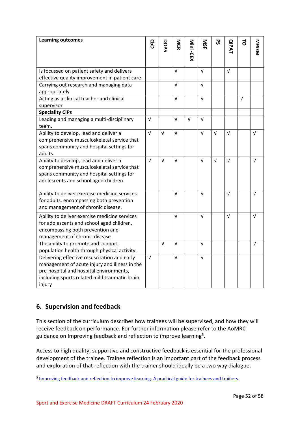| <b>Learning outcomes</b>                                                                                                                                                                            | ဌ          |            | <b>NCR</b> |            | SIN        | 59         |              | 5          |              |
|-----------------------------------------------------------------------------------------------------------------------------------------------------------------------------------------------------|------------|------------|------------|------------|------------|------------|--------------|------------|--------------|
|                                                                                                                                                                                                     |            | DOPS       |            | Mini -CEX  |            |            | <b>QIPAT</b> |            | <b>MFSEM</b> |
|                                                                                                                                                                                                     |            |            |            |            |            |            |              |            |              |
| Is focussed on patient safety and delivers                                                                                                                                                          |            |            | $\sqrt{ }$ |            | $\sqrt{ }$ |            | $\sqrt{ }$   |            |              |
| effective quality improvement in patient care                                                                                                                                                       |            |            |            |            |            |            |              |            |              |
| Carrying out research and managing data<br>appropriately                                                                                                                                            |            |            | $\sqrt{ }$ |            | $\sqrt{ }$ |            |              |            |              |
| Acting as a clinical teacher and clinical<br>supervisor                                                                                                                                             |            |            | $\sqrt{ }$ |            | $\sqrt{ }$ |            |              | $\sqrt{ }$ |              |
| <b>Speciality CiPs</b>                                                                                                                                                                              |            |            |            |            |            |            |              |            |              |
| Leading and managing a multi-disciplinary<br>team.                                                                                                                                                  | $\sqrt{ }$ |            | $\sqrt{ }$ | $\sqrt{ }$ | $\sqrt{ }$ |            |              |            |              |
| Ability to develop, lead and deliver a<br>comprehensive musculoskeletal service that<br>spans community and hospital settings for<br>adults.                                                        | $\sqrt{ }$ | $\sqrt{ }$ | $\sqrt{ }$ |            | $\sqrt{ }$ | $\sqrt{ }$ | $\sqrt{ }$   |            | $\sqrt{ }$   |
| Ability to develop, lead and deliver a<br>comprehensive musculoskeletal service that<br>spans community and hospital settings for<br>adolescents and school aged children.                          | $\sqrt{ }$ | $\sqrt{ }$ | V          |            | $\sqrt{ }$ | $\sqrt{ }$ | $\sqrt{ }$   |            | $\sqrt{ }$   |
| Ability to deliver exercise medicine services<br>for adults, encompassing both prevention<br>and management of chronic disease.                                                                     |            |            | $\sqrt{ }$ |            | $\sqrt{ }$ |            | $\sqrt{ }$   |            | $\sqrt{ }$   |
| Ability to deliver exercise medicine services<br>for adolescents and school aged children,<br>encompassing both prevention and<br>management of chronic disease.                                    |            |            | V          |            | V          |            | $\sqrt{ }$   |            | $\sqrt{ }$   |
| The ability to promote and support<br>population health through physical activity.                                                                                                                  |            | $\sqrt{ }$ | $\sqrt{ }$ |            | $\sqrt{ }$ |            |              |            | $\sqrt{ }$   |
| Delivering effective resuscitation and early<br>management of acute injury and illness in the<br>pre-hospital and hospital environments,<br>including sports related mild traumatic brain<br>injury | $\sqrt{ }$ |            | $\sqrt{ }$ |            | $\sqrt{ }$ |            |              |            |              |

# <span id="page-51-0"></span>**6. Supervision and feedback**

This section of the curriculum describes how trainees will be supervised, and how they will receive feedback on performance. For further information please refer to the AoMRC guidance on Improving feedback and reflection to improve learning<sup>5</sup>.

Access to high quality, supportive and constructive feedback is essential for the professional development of the trainee. Trainee reflection is an important part of the feedback process and exploration of that reflection with the trainer should ideally be a two way dialogue.

<sup>&</sup>lt;sup>5</sup> [Improving feedback and reflection to improve learning. A practical guide for trainees and trainers](http://www.aomrc.org.uk/publications/reports-guidance/improving-feedback-reflection-improve-learning-practical-guide-trainees-trainers/)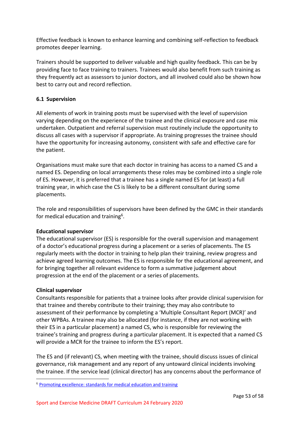Effective feedback is known to enhance learning and combining self-reflection to feedback promotes deeper learning.

Trainers should be supported to deliver valuable and high quality feedback. This can be by providing face to face training to trainers. Trainees would also benefit from such training as they frequently act as assessors to junior doctors, and all involved could also be shown how best to carry out and record reflection.

# <span id="page-52-0"></span>**6.1 Supervision**

All elements of work in training posts must be supervised with the level of supervision varying depending on the experience of the trainee and the clinical exposure and case mix undertaken. Outpatient and referral supervision must routinely include the opportunity to discuss all cases with a supervisor if appropriate. As training progresses the trainee should have the opportunity for increasing autonomy, consistent with safe and effective care for the patient.

Organisations must make sure that each doctor in training has access to a named CS and a named ES. Depending on local arrangements these roles may be combined into a single role of ES. However, it is preferred that a trainee has a single named ES for (at least) a full training year, in which case the CS is likely to be a different consultant during some placements.

The role and responsibilities of supervisors have been defined by the GMC in their standards for medical education and training<sup>6</sup>.

# **Educational supervisor**

The educational supervisor (ES) is responsible for the overall supervision and management of a doctor's educational progress during a placement or a series of placements. The ES regularly meets with the doctor in training to help plan their training, review progress and achieve agreed learning outcomes. The ES is responsible for the educational agreement, and for bringing together all relevant evidence to form a summative judgement about progression at the end of the placement or a series of placements.

# **Clinical supervisor**

Consultants responsible for patients that a trainee looks after provide clinical supervision for that trainee and thereby contribute to their training; they may also contribute to assessment of their performance by completing a 'Multiple Consultant Report (MCR)' and other WPBAs. A trainee may also be allocated (for instance, if they are not working with their ES in a particular placement) a named CS, who is responsible for reviewing the trainee's training and progress during a particular placement. It is expected that a named CS will provide a MCR for the trainee to inform the ES's report.

The ES and (if relevant) CS, when meeting with the trainee, should discuss issues of clinical governance, risk management and any report of any untoward clinical incidents involving the trainee. If the service lead (clinical director) has any concerns about the performance of

<sup>6</sup> [Promoting excellence: standards for medical education and training](http://www.gmc-uk.org/education/standards.asp)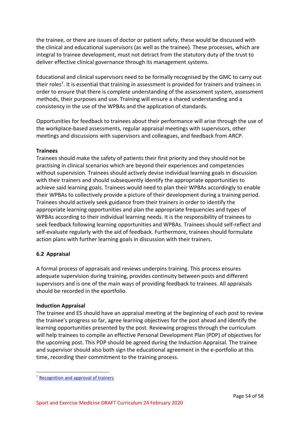the trainee, or there are issues of doctor or patient safety, these would be discussed with the clinical and educational supervisors (as well as the trainee). These processes, which are integral to trainee development, must not detract from the statutory duty of the trust to deliver effective clinical governance through its management systems.

Educational and clinical supervisors need to be formally recognised by the GMC to carry out their roles<sup>7</sup>. It is essential that training in assessment is provided for trainers and trainees in order to ensure that there is complete understanding of the assessment system, assessment methods, their purposes and use. Training will ensure a shared understanding and a consistency in the use of the WPBAs and the application of standards.

Opportunities for feedback to trainees about their performance will arise through the use of the workplace-based assessments, regular appraisal meetings with supervisors, other meetings and discussions with supervisors and colleagues, and feedback from ARCP.

# **Trainees**

Trainees should make the safety of patients their first priority and they should not be practising in clinical scenarios which are beyond their experiences and competencies without supervision. Trainees should actively devise individual learning goals in discussion with their trainers and should subsequently identify the appropriate opportunities to achieve said learning goals. Trainees would need to plan their WPBAs accordingly to enable their WPBAs to collectively provide a picture of their development during a training period. Trainees should actively seek guidance from their trainers in order to identify the appropriate learning opportunities and plan the appropriate frequencies and types of WPBAs according to their individual learning needs. It is the responsibility of trainees to seek feedback following learning opportunities and WPBAs. Trainees should self-reflect and self-evaluate regularly with the aid of feedback. Furthermore, trainees should formulate action plans with further learning goals in discussion with their trainers.

# <span id="page-53-0"></span>**6.2 Appraisal**

A formal process of appraisals and reviews underpins training. This process ensures adequate supervision during training, provides continuity between posts and different supervisors and is one of the main ways of providing feedback to trainees. All appraisals should be recorded in the eportfolio.

# **Induction Appraisal**

The trainee and ES should have an appraisal meeting at the beginning of each post to review the trainee's progress so far, agree learning objectives for the post ahead and identify the learning opportunities presented by the post. Reviewing progress through the curriculum will help trainees to compile an effective Personal Development Plan (PDP) of objectives for the upcoming post. This PDP should be agreed during the Induction Appraisal. The trainee and supervisor should also both sign the educational agreement in the e-portfolio at this time, recording their commitment to the training process.

<sup>7</sup> [Recognition and approval of trainers](http://www.gmc-uk.org/education/10264.asp)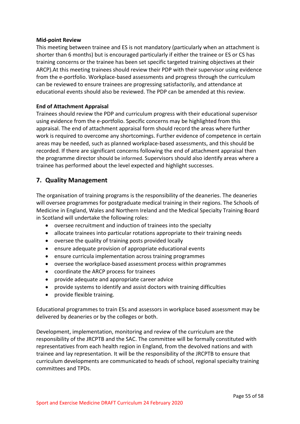### **Mid-point Review**

This meeting between trainee and ES is not mandatory (particularly when an attachment is shorter than 6 months) but is encouraged particularly if either the trainee or ES or CS has training concerns or the trainee has been set specific targeted training objectives at their ARCP).At this meeting trainees should review their PDP with their supervisor using evidence from the e-portfolio. Workplace-based assessments and progress through the curriculum can be reviewed to ensure trainees are progressing satisfactorily, and attendance at educational events should also be reviewed. The PDP can be amended at this review.

# **End of Attachment Appraisal**

Trainees should review the PDP and curriculum progress with their educational supervisor using evidence from the e-portfolio. Specific concerns may be highlighted from this appraisal. The end of attachment appraisal form should record the areas where further work is required to overcome any shortcomings. Further evidence of competence in certain areas may be needed, such as planned workplace-based assessments, and this should be recorded. If there are significant concerns following the end of attachment appraisal then the programme director should be informed. Supervisors should also identify areas where a trainee has performed about the level expected and highlight successes.

# <span id="page-54-0"></span>**7. Quality Management**

The organisation of training programs is the responsibility of the deaneries. The deaneries will oversee programmes for postgraduate medical training in their regions. The Schools of Medicine in England, Wales and Northern Ireland and the Medical Specialty Training Board in Scotland will undertake the following roles:

- oversee recruitment and induction of trainees into the specialty
- allocate trainees into particular rotations appropriate to their training needs
- oversee the quality of training posts provided locally
- ensure adequate provision of appropriate educational events
- ensure curricula implementation across training programmes
- oversee the workplace-based assessment process within programmes
- coordinate the ARCP process for trainees
- provide adequate and appropriate career advice
- provide systems to identify and assist doctors with training difficulties
- provide flexible training.

Educational programmes to train ESs and assessors in workplace based assessment may be delivered by deaneries or by the colleges or both.

Development, implementation, monitoring and review of the curriculum are the responsibility of the JRCPTB and the SAC. The committee will be formally constituted with representatives from each health region in England, from the devolved nations and with trainee and lay representation. It will be the responsibility of the JRCPTB to ensure that curriculum developments are communicated to heads of school, regional specialty training committees and TPDs.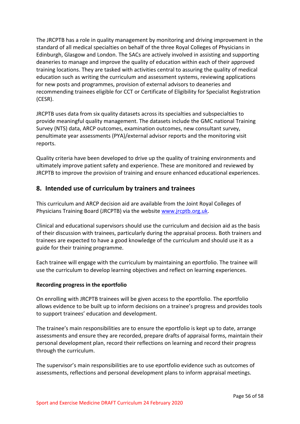The JRCPTB has a role in quality management by monitoring and driving improvement in the standard of all medical specialties on behalf of the three Royal Colleges of Physicians in Edinburgh, Glasgow and London. The SACs are actively involved in assisting and supporting deaneries to manage and improve the quality of education within each of their approved training locations. They are tasked with activities central to assuring the quality of medical education such as writing the curriculum and assessment systems, reviewing applications for new posts and programmes, provision of external advisors to deaneries and recommending trainees eligible for CCT or Certificate of Eligibility for Specialist Registration (CESR).

JRCPTB uses data from six quality datasets across its specialties and subspecialties to provide meaningful quality management. The datasets include the GMC national Training Survey (NTS) data, ARCP outcomes, examination outcomes, new consultant survey, penultimate year assessments (PYA)/external advisor reports and the monitoring visit reports.

Quality criteria have been developed to drive up the quality of training environments and ultimately improve patient safety and experience. These are monitored and reviewed by JRCPTB to improve the provision of training and ensure enhanced educational experiences.

# <span id="page-55-0"></span>**8. Intended use of curriculum by trainers and trainees**

This curriculum and ARCP decision aid are available from the Joint Royal Colleges of Physicians Training Board (JRCPTB) via the website [www.jrcptb.org.uk.](http://www.jrcptb.org.uk/)

Clinical and educational supervisors should use the curriculum and decision aid as the basis of their discussion with trainees, particularly during the appraisal process. Both trainers and trainees are expected to have a good knowledge of the curriculum and should use it as a guide for their training programme.

Each trainee will engage with the curriculum by maintaining an eportfolio. The trainee will use the curriculum to develop learning objectives and reflect on learning experiences.

# **Recording progress in the eportfolio**

On enrolling with JRCPTB trainees will be given access to the eportfolio. The eportfolio allows evidence to be built up to inform decisions on a trainee's progress and provides tools to support trainees' education and development.

The trainee's main responsibilities are to ensure the eportfolio is kept up to date, arrange assessments and ensure they are recorded, prepare drafts of appraisal forms, maintain their personal development plan, record their reflections on learning and record their progress through the curriculum.

The supervisor's main responsibilities are to use eportfolio evidence such as outcomes of assessments, reflections and personal development plans to inform appraisal meetings.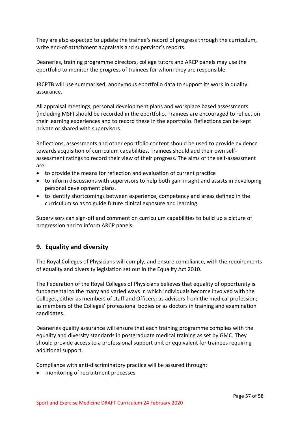They are also expected to update the trainee's record of progress through the curriculum, write end-of-attachment appraisals and supervisor's reports.

Deaneries, training programme directors, college tutors and ARCP panels may use the eportfolio to monitor the progress of trainees for whom they are responsible.

JRCPTB will use summarised, anonymous eportfolio data to support its work in quality assurance.

All appraisal meetings, personal development plans and workplace based assessments (including MSF) should be recorded in the eportfolio. Trainees are encouraged to reflect on their learning experiences and to record these in the eportfolio. Reflections can be kept private or shared with supervisors.

Reflections, assessments and other eportfolio content should be used to provide evidence towards acquisition of curriculum capabilities. Trainees should add their own selfassessment ratings to record their view of their progress. The aims of the self-assessment are:

- to provide the means for reflection and evaluation of current practice
- to inform discussions with supervisors to help both gain insight and assists in developing personal development plans.
- to identify shortcomings between experience, competency and areas defined in the curriculum so as to guide future clinical exposure and learning.

Supervisors can sign-off and comment on curriculum capabilities to build up a picture of progression and to inform ARCP panels.

# <span id="page-56-0"></span>**9. Equality and diversity**

The Royal Colleges of Physicians will comply, and ensure compliance, with the requirements of equality and diversity legislation set out in the Equality Act 2010.

The Federation of the Royal Colleges of Physicians believes that equality of opportunity is fundamental to the many and varied ways in which individuals become involved with the Colleges, either as members of staff and Officers; as advisers from the medical profession; as members of the Colleges' professional bodies or as doctors in training and examination candidates.

Deaneries quality assurance will ensure that each training programme complies with the equality and diversity standards in postgraduate medical training as set by GMC. They should provide access to a professional support unit or equivalent for trainees requiring additional support.

Compliance with anti-discriminatory practice will be assured through:

• monitoring of recruitment processes